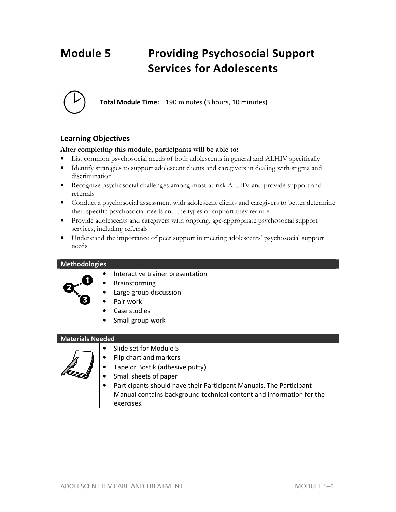# **Module 5 Providing Psychosocial Support Services for Adolescents**



**Total Module Time:** 190 minutes (3 hours, 10 minutes)

# **Learning Objectives**

# **After completing this module, participants will be able to:**

- List common psychosocial needs of both adolescents in general and ALHIV specifically
- Identify strategies to support adolescent clients and caregivers in dealing with stigma and discrimination
- Recognize psychosocial challenges among most-at-risk ALHIV and provide support and referrals
- Conduct a psychosocial assessment with adolescent clients and caregivers to better determine their specific psychosocial needs and the types of support they require
- Provide adolescents and caregivers with ongoing, age-appropriate psychosocial support services, including referrals
- Understand the importance of peer support in meeting adolescents' psychosocial support needs

# **Methodologies**  • Interactive trainer presentation **Brainstorming** Large group discussion Pair work Case studies • Small group work **Materials Needed** • Slide set for Module 5

| Flip chart and markers                                               |
|----------------------------------------------------------------------|
| • Tape or Bostik (adhesive putty)                                    |
| Small sheets of paper                                                |
| Participants should have their Participant Manuals. The Participant  |
| Manual contains background technical content and information for the |
| exercises.                                                           |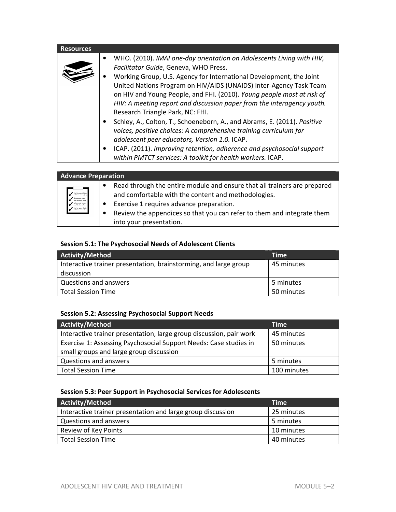| <b>Resources</b> |                                                                                                                                                                                                                                                                                                                                                                                                                                                                                                                                                                                                                                                                                                                                                                                              |
|------------------|----------------------------------------------------------------------------------------------------------------------------------------------------------------------------------------------------------------------------------------------------------------------------------------------------------------------------------------------------------------------------------------------------------------------------------------------------------------------------------------------------------------------------------------------------------------------------------------------------------------------------------------------------------------------------------------------------------------------------------------------------------------------------------------------|
|                  | WHO. (2010). IMAI one-day orientation on Adolescents Living with HIV,<br>Facilitator Guide, Geneva, WHO Press.<br>Working Group, U.S. Agency for International Development, the Joint<br>United Nations Program on HIV/AIDS (UNAIDS) Inter-Agency Task Team<br>on HIV and Young People, and FHI. (2010). Young people most at risk of<br>HIV: A meeting report and discussion paper from the interagency youth.<br>Research Triangle Park, NC: FHI.<br>Schley, A., Colton, T., Schoeneborn, A., and Abrams, E. (2011). Positive<br>voices, positive choices: A comprehensive training curriculum for<br>adolescent peer educators, Version 1.0. ICAP.<br>ICAP. (2011). Improving retention, adherence and psychosocial support<br>within PMTCT services: A toolkit for health workers. ICAP. |
|                  |                                                                                                                                                                                                                                                                                                                                                                                                                                                                                                                                                                                                                                                                                                                                                                                              |

| Read through the entire module and ensure that all trainers are prepared<br>$\bullet$<br>" Sel at grave thatlan.<br>" activism accuract of<br>and comfortable with the content and methodologies.<br>Virtulation redat<br>Exercise 1 requires advance preparation.<br>Diam polo karka<br>pakakaak perikaa<br>Set at gram Hetter<br>activises exceed<br>Review the appendices so that you can refer to them and integrate them<br>$\bullet$<br>into your presentation. | <b>Advance Preparation</b> |  |  |
|-----------------------------------------------------------------------------------------------------------------------------------------------------------------------------------------------------------------------------------------------------------------------------------------------------------------------------------------------------------------------------------------------------------------------------------------------------------------------|----------------------------|--|--|
|                                                                                                                                                                                                                                                                                                                                                                                                                                                                       |                            |  |  |

# **Session 5.1: The Psychosocial Needs of Adolescent Clients**

| Activity/Method                                                  | <b>Time</b> |
|------------------------------------------------------------------|-------------|
| Interactive trainer presentation, brainstorming, and large group | 45 minutes  |
| discussion                                                       |             |
| Questions and answers                                            | 5 minutes   |
| Total Session Time                                               | 50 minutes  |

# **Session 5.2: Assessing Psychosocial Support Needs**

| Activity/Method                                                     | <b>Time</b> |
|---------------------------------------------------------------------|-------------|
| Interactive trainer presentation, large group discussion, pair work | 45 minutes  |
| Exercise 1: Assessing Psychosocial Support Needs: Case studies in   | 50 minutes  |
| small groups and large group discussion                             |             |
| Questions and answers                                               | 5 minutes   |
| <b>Total Session Time</b>                                           | 100 minutes |

# **Session 5.3: Peer Support in Psychosocial Services for Adolescents**

| <b>Activity/Method</b>                                      | <b>Time</b> |
|-------------------------------------------------------------|-------------|
| Interactive trainer presentation and large group discussion | 25 minutes  |
| Questions and answers                                       | 5 minutes   |
| Review of Key Points                                        | 10 minutes  |
| <b>Total Session Time</b>                                   | 40 minutes  |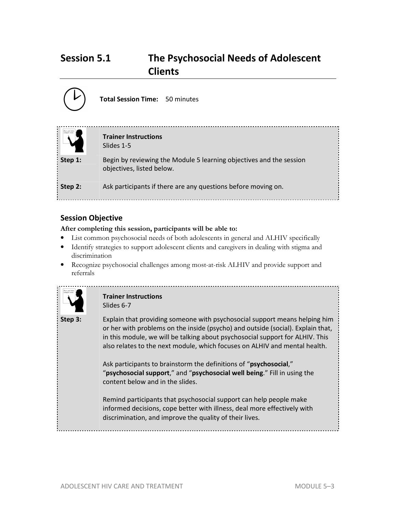# **Session 5.1 The Psychosocial Needs of Adolescent Clients**



# **Session Objective**

# **After completing this session, participants will be able to:**

- List common psychosocial needs of both adolescents in general and ALHIV specifically
- Identify strategies to support adolescent clients and caregivers in dealing with stigma and discrimination
- Recognize psychosocial challenges among most-at-risk ALHIV and provide support and referrals



# **Trainer Instructions**  Slides 6-7

**Step 3:** Explain that providing someone with psychosocial support means helping him or her with problems on the inside (psycho) and outside (social). Explain that, in this module, we will be talking about psychosocial support for ALHIV. This also relates to the next module, which focuses on ALHIV and mental health.

> Ask participants to brainstorm the definitions of "**psychosocial**," "**psychosocial support**," and "**psychosocial well being**." Fill in using the content below and in the slides.

> Remind participants that psychosocial support can help people make informed decisions, cope better with illness, deal more effectively with discrimination, and improve the quality of their lives.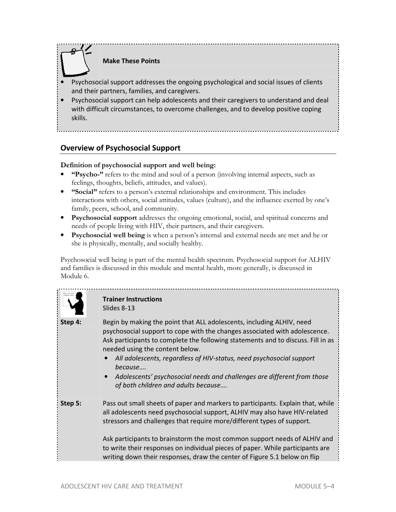

**Make These Points** 

- Psychosocial support addresses the ongoing psychological and social issues of clients and their partners, families, and caregivers.
- Psychosocial support can help adolescents and their caregivers to understand and deal with difficult circumstances, to overcome challenges, and to develop positive coping skills.

# **Overview of Psychosocial Support**

# **Definition of psychosocial support and well being:**

- **"Psycho-"** refers to the mind and soul of a person (involving internal aspects, such as feelings, thoughts, beliefs, attitudes, and values).
- **"Social"** refers to a person's external relationships and environment. This includes interactions with others, social attitudes, values (culture), and the influence exerted by one's family, peers, school, and community.
- **Psychosocial support** addresses the ongoing emotional, social, and spiritual concerns and needs of people living with HIV, their partners, and their caregivers.
- **Psychosocial well being** is when a person's internal and external needs are met and he or she is physically, mentally, and socially healthy.

Psychosocial well being is part of the mental health spectrum. Psychosocial support for ALHIV and families is discussed in this module and mental health, more generally, is discussed in Module 6.



# **Trainer Instructions**  Slides 8-13

**Step 4:** Begin by making the point that ALL adolescents, including ALHIV, need psychosocial support to cope with the changes associated with adolescence. Ask participants to complete the following statements and to discuss. Fill in as needed using the content below.

- *All adolescents, regardless of HIV-status, need psychosocial support because….*
- *Adolescents' psychosocial needs and challenges are different from those of both children and adults because….*
- **Step 5:** Pass out small sheets of paper and markers to participants. Explain that, while all adolescents need psychosocial support, ALHIV may also have HIV-related stressors and challenges that require more/different types of support.

Ask participants to brainstorm the most common support needs of ALHIV and to write their responses on individual pieces of paper. While participants are writing down their responses, draw the center of Figure 5.1 below on flip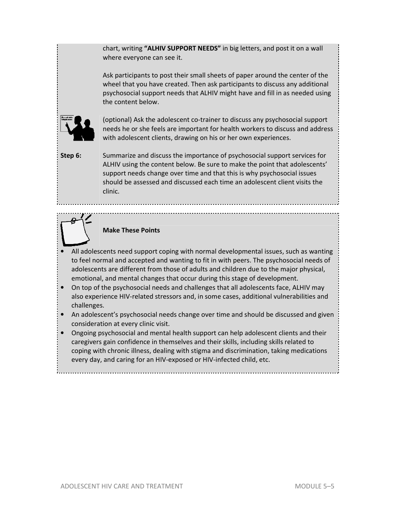chart, writing **"ALHIV SUPPORT NEEDS"** in big letters, and post it on a wall where everyone can see it.

Ask participants to post their small sheets of paper around the center of the wheel that you have created. Then ask participants to discuss any additional psychosocial support needs that ALHIV might have and fill in as needed using the content below.



(optional) Ask the adolescent co-trainer to discuss any psychosocial support needs he or she feels are important for health workers to discuss and address with adolescent clients, drawing on his or her own experiences.

**Step 6:** Summarize and discuss the importance of psychosocial support services for ALHIV using the content below. Be sure to make the point that adolescents' support needs change over time and that this is why psychosocial issues should be assessed and discussed each time an adolescent client visits the clinic.



# **Make These Points**

- All adolescents need support coping with normal developmental issues, such as wanting to feel normal and accepted and wanting to fit in with peers. The psychosocial needs of adolescents are different from those of adults and children due to the major physical, emotional, and mental changes that occur during this stage of development.
- On top of the psychosocial needs and challenges that all adolescents face, ALHIV may also experience HIV-related stressors and, in some cases, additional vulnerabilities and challenges.
- An adolescent's psychosocial needs change over time and should be discussed and given consideration at every clinic visit.
- Ongoing psychosocial and mental health support can help adolescent clients and their caregivers gain confidence in themselves and their skills, including skills related to coping with chronic illness, dealing with stigma and discrimination, taking medications every day, and caring for an HIV-exposed or HIV-infected child, etc.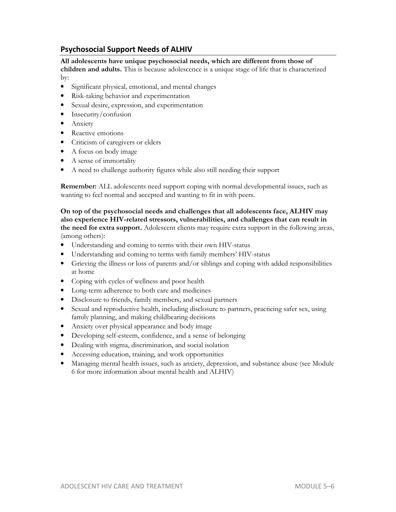# **Psychosocial Support Needs of ALHIV**

## **All adolescents have unique psychosocial needs, which are different from those of**

**children and adults.** This is because adolescence is a unique stage of life that is characterized by:

- Significant physical, emotional, and mental changes
- Risk-taking behavior and experimentation
- Sexual desire, expression, and experimentation
- Insecurity/confusion
- Anxiety
- Reactive emotions
- Criticism of caregivers or elders
- A focus on body image
- A sense of immortality
- A need to challenge authority figures while also still needing their support

**Remember:** ALL adolescents need support coping with normal developmental issues, such as wanting to feel normal and accepted and wanting to fit in with peers.

**On top of the psychosocial needs and challenges that all adolescents face, ALHIV may also experience HIV-related stressors, vulnerabilities, and challenges that can result in the need for extra support.** Adolescent clients may require extra support in the following areas, (among others):

- Understanding and coming to terms with their own HIV-status
- Understanding and coming to terms with family members' HIV-status
- Grieving the illness or loss of parents and/or siblings and coping with added responsibilities at home
- Coping with cycles of wellness and poor health
- Long-term adherence to both care and medicines
- Disclosure to friends, family members, and sexual partners
- Sexual and reproductive health, including disclosure to partners, practicing safer sex, using family planning, and making childbearing decisions
- Anxiety over physical appearance and body image
- Developing self-esteem, confidence, and a sense of belonging
- Dealing with stigma, discrimination, and social isolation
- Accessing education, training, and work opportunities
- Managing mental health issues, such as anxiety, depression, and substance abuse (see Module 6 for more information about mental health and ALHIV)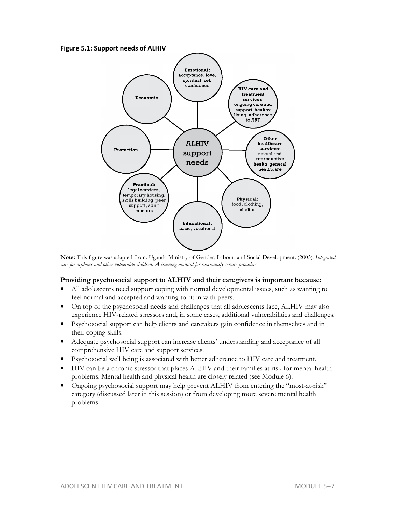**Figure 5.1: Support needs of ALHIV** 



**Note:** This figure was adapted from: Uganda Ministry of Gender, Labour, and Social Development. (2005). *Integrated care for orphans and other vulnerable children: A training manual for community service providers.* 

## **Providing psychosocial support to ALHIV and their caregivers is important because:**

- All adolescents need support coping with normal developmental issues, such as wanting to feel normal and accepted and wanting to fit in with peers.
- On top of the psychosocial needs and challenges that all adolescents face, ALHIV may also experience HIV-related stressors and, in some cases, additional vulnerabilities and challenges.
- Psychosocial support can help clients and caretakers gain confidence in themselves and in their coping skills.
- Adequate psychosocial support can increase clients' understanding and acceptance of all comprehensive HIV care and support services.
- Psychosocial well being is associated with better adherence to HIV care and treatment.
- HIV can be a chronic stressor that places ALHIV and their families at risk for mental health problems. Mental health and physical health are closely related (see Module 6).
- Ongoing psychosocial support may help prevent ALHIV from entering the "most-at-risk" category (discussed later in this session) or from developing more severe mental health problems.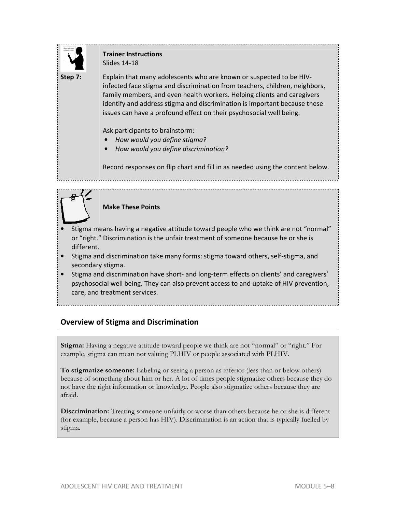

# **Trainer Instructions**  Slides 14-18

**Step 7:** Explain that many adolescents who are known or suspected to be HIVinfected face stigma and discrimination from teachers, children, neighbors, family members, and even health workers. Helping clients and caregivers identify and address stigma and discrimination is important because these issues can have a profound effect on their psychosocial well being.

Ask participants to brainstorm:

- *How would you define stigma?*
- *How would you define discrimination?*

Record responses on flip chart and fill in as needed using the content below.

**Make These Points** 

- Stigma means having a negative attitude toward people who we think are not "normal" or "right." Discrimination is the unfair treatment of someone because he or she is different.
- Stigma and discrimination take many forms: stigma toward others, self-stigma, and secondary stigma.
- Stigma and discrimination have short- and long-term effects on clients' and caregivers' psychosocial well being. They can also prevent access to and uptake of HIV prevention, care, and treatment services.

# **Overview of Stigma and Discrimination**

**Stigma:** Having a negative attitude toward people we think are not "normal" or "right." For example, stigma can mean not valuing PLHIV or people associated with PLHIV.

**To stigmatize someone:** Labeling or seeing a person as inferior (less than or below others) because of something about him or her. A lot of times people stigmatize others because they do not have the right information or knowledge. People also stigmatize others because they are afraid.

**Discrimination:** Treating someone unfairly or worse than others because he or she is different (for example, because a person has HIV). Discrimination is an action that is typically fuelled by stigma.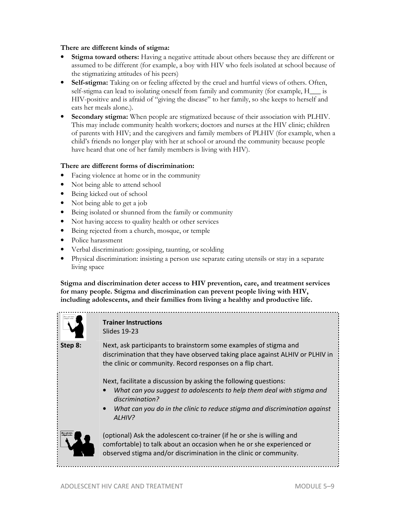## **There are different kinds of stigma:**

- **Stigma toward others:** Having a negative attitude about others because they are different or assumed to be different (for example, a boy with HIV who feels isolated at school because of the stigmatizing attitudes of his peers)
- **Self-stigma:** Taking on or feeling affected by the cruel and hurtful views of others. Often, self-stigma can lead to isolating oneself from family and community (for example, H\_\_\_ is HIV-positive and is afraid of "giving the disease" to her family, so she keeps to herself and eats her meals alone.).
- **Secondary stigma:** When people are stigmatized because of their association with PLHIV. This may include community health workers; doctors and nurses at the HIV clinic; children of parents with HIV; and the caregivers and family members of PLHIV (for example, when a child's friends no longer play with her at school or around the community because people have heard that one of her family members is living with HIV).

#### **There are different forms of discrimination:**

- Facing violence at home or in the community
- Not being able to attend school
- Being kicked out of school
- Not being able to get a job
- Being isolated or shunned from the family or community
- Not having access to quality health or other services
- Being rejected from a church, mosque, or temple
- Police harassment
- Verbal discrimination: gossiping, taunting, or scolding
- Physical discrimination: insisting a person use separate eating utensils or stay in a separate living space

**Stigma and discrimination deter access to HIV prevention, care, and treatment services for many people. Stigma and discrimination can prevent people living with HIV, including adolescents, and their families from living a healthy and productive life.** 



#### **Trainer Instructions**  Slides 19-23

**Step 8:** Next, ask participants to brainstorm some examples of stigma and discrimination that they have observed taking place against ALHIV or PLHIV in the clinic or community. Record responses on a flip chart.

Next, facilitate a discussion by asking the following questions:

- *What can you suggest to adolescents to help them deal with stigma and discrimination?*
- *What can you do in the clinic to reduce stigma and discrimination against ALHIV?*



(optional) Ask the adolescent co-trainer (if he or she is willing and comfortable) to talk about an occasion when he or she experienced or observed stigma and/or discrimination in the clinic or community.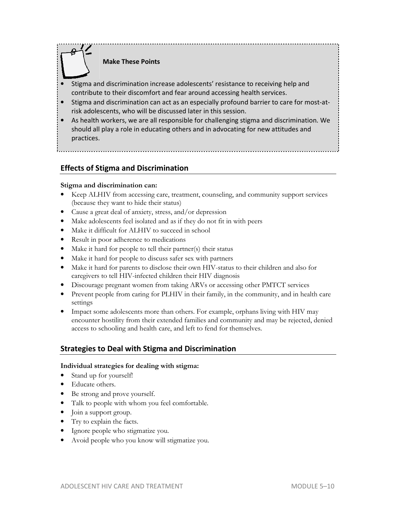

# **Make These Points**

- Stigma and discrimination increase adolescents' resistance to receiving help and contribute to their discomfort and fear around accessing health services.
- Stigma and discrimination can act as an especially profound barrier to care for most-atrisk adolescents, who will be discussed later in this session.
- As health workers, we are all responsible for challenging stigma and discrimination. We should all play a role in educating others and in advocating for new attitudes and practices.

# **Effects of Stigma and Discrimination**

# **Stigma and discrimination can:**

- Keep ALHIV from accessing care, treatment, counseling, and community support services (because they want to hide their status)
- Cause a great deal of anxiety, stress, and/or depression
- Make adolescents feel isolated and as if they do not fit in with peers
- Make it difficult for ALHIV to succeed in school
- Result in poor adherence to medications
- Make it hard for people to tell their partner(s) their status
- Make it hard for people to discuss safer sex with partners
- Make it hard for parents to disclose their own HIV-status to their children and also for caregivers to tell HIV-infected children their HIV diagnosis
- Discourage pregnant women from taking ARVs or accessing other PMTCT services
- Prevent people from caring for PLHIV in their family, in the community, and in health care settings
- Impact some adolescents more than others. For example, orphans living with HIV may encounter hostility from their extended families and community and may be rejected, denied access to schooling and health care, and left to fend for themselves.

# **Strategies to Deal with Stigma and Discrimination**

## **Individual strategies for dealing with stigma:**

- Stand up for yourself!
- Educate others.
- Be strong and prove yourself.
- Talk to people with whom you feel comfortable.
- Join a support group.
- Try to explain the facts.
- Ignore people who stigmatize you.
- Avoid people who you know will stigmatize you.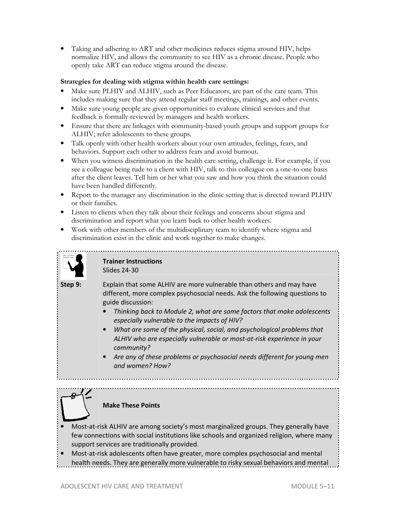• Taking and adhering to ART and other medicines reduces stigma around HIV, helps normalize HIV, and allows the community to see HIV as a chronic disease. People who openly take ART can reduce stigma around the disease.

# **Strategies for dealing with stigma within health care settings:**

- Make sure PLHIV and ALHIV, such as Peer Educators, are part of the care team. This includes making sure that they attend regular staff meetings, trainings, and other events.
- Make sure young people are given opportunities to evaluate clinical services and that feedback is formally reviewed by managers and health workers.
- Ensure that there are linkages with community-based youth groups and support groups for ALHIV; refer adolescents to these groups.
- Talk openly with other health workers about your own attitudes, feelings, fears, and behaviors. Support each other to address fears and avoid burnout.
- When you witness discrimination in the health care setting, challenge it. For example, if you see a colleague being rude to a client with HIV, talk to this colleague on a one-to-one basis after the client leaves. Tell him or her what you saw and how you think the situation could have been handled differently.
- Report to the manager any discrimination in the clinic setting that is directed toward PLHIV or their families.
- Listen to clients when they talk about their feelings and concerns about stigma and discrimination and report what you learn back to other health workers.
- Work with other members of the multidisciplinary team to identify where stigma and discrimination exist in the clinic and work together to make changes.



## **Trainer Instructions**  Slides 24-30

**Step 9:** Explain that some ALHIV are more vulnerable than others and may have different, more complex psychosocial needs. Ask the following questions to guide discussion:

- *Thinking back to Module 2, what are some factors that make adolescents especially vulnerable to the impacts of HIV?*
- *What are some of the physical, social, and psychological problems that ALHIV who are especially vulnerable or most-at-risk experience in your community?*
- *Are any of these problems or psychosocial needs different for young men and women? How?*

# **Make These Points**

- Most-at-risk ALHIV are among society's most marginalized groups. They generally have few connections with social institutions like schools and organized religion, where many support services are traditionally provided.
- Most-at-risk adolescents often have greater, more complex psychosocial and mental health needs. They are generally more vulnerable to risky sexual behaviors and mental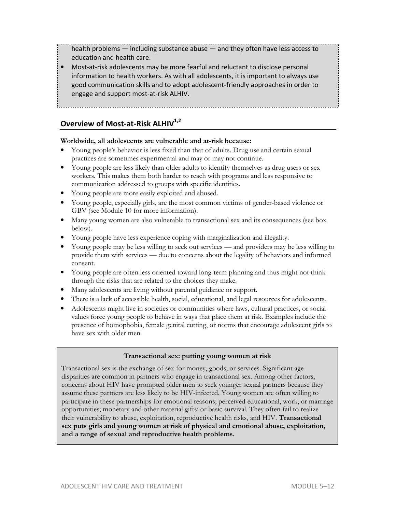health problems — including substance abuse — and they often have less access to education and health care.

• Most-at-risk adolescents may be more fearful and reluctant to disclose personal information to health workers. As with all adolescents, it is important to always use good communication skills and to adopt adolescent-friendly approaches in order to engage and support most-at-risk ALHIV.

**Overview of Most-at-Risk ALHIV1,2** 

# **Worldwide, all adolescents are vulnerable and at-risk because:**

- Young people's behavior is less fixed than that of adults. Drug use and certain sexual practices are sometimes experimental and may or may not continue.
- Young people are less likely than older adults to identify themselves as drug users or sex workers. This makes them both harder to reach with programs and less responsive to communication addressed to groups with specific identities.
- Young people are more easily exploited and abused.
- Young people, especially girls, are the most common victims of gender-based violence or GBV (see Module 10 for more information).
- Many young women are also vulnerable to transactional sex and its consequences (see box below).
- Young people have less experience coping with marginalization and illegality.
- Young people may be less willing to seek out services and providers may be less willing to provide them with services — due to concerns about the legality of behaviors and informed consent.
- Young people are often less oriented toward long-term planning and thus might not think through the risks that are related to the choices they make.
- Many adolescents are living without parental guidance or support.
- There is a lack of accessible health, social, educational, and legal resources for adolescents.
- Adolescents might live in societies or communities where laws, cultural practices, or social values force young people to behave in ways that place them at risk. Examples include the presence of homophobia, female genital cutting, or norms that encourage adolescent girls to have sex with older men.

## **Transactional sex: putting young women at risk**

Transactional sex is the exchange of sex for money, goods, or services. Significant age disparities are common in partners who engage in transactional sex. Among other factors, concerns about HIV have prompted older men to seek younger sexual partners because they assume these partners are less likely to be HIV-infected. Young women are often willing to participate in these partnerships for emotional reasons; perceived educational, work, or marriage opportunities; monetary and other material gifts; or basic survival. They often fail to realize their vulnerability to abuse, exploitation, reproductive health risks, and HIV. **Transactional sex puts girls and young women at risk of physical and emotional abuse, exploitation, and a range of sexual and reproductive health problems.**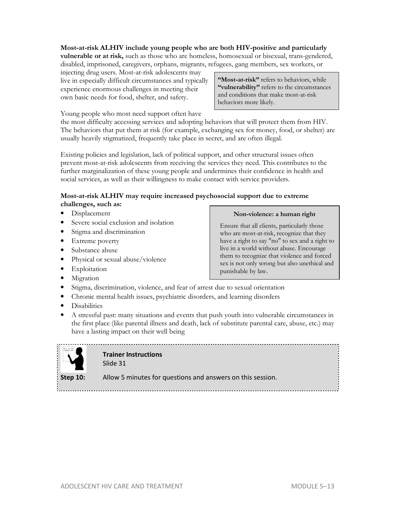# **Most-at-risk ALHIV include young people who are both HIV-positive and particularly vulnerable or at risk,** such as those who are homeless, homosexual or bisexual, trans-gendered, disabled, imprisoned, caregivers, orphans, migrants, refugees, gang members, sex workers, or

injecting drug users. Most-at-risk adolescents may live in especially difficult circumstances and typically experience enormous challenges in meeting their own basic needs for food, shelter, and safety.

**"Most-at-risk"** refers to behaviors, while **"vulnerability"** refers to the circumstances and conditions that make most-at-risk behaviors more likely.

Young people who most need support often have

the most difficulty accessing services and adopting behaviors that will protect them from HIV. The behaviors that put them at risk (for example, exchanging sex for money, food, or shelter) are usually heavily stigmatized, frequently take place in secret, and are often illegal.

Existing policies and legislation, lack of political support, and other structural issues often prevent most-at-risk adolescents from receiving the services they need. This contributes to the further marginalization of these young people and undermines their confidence in health and social services, as well as their willingness to make contact with service providers.

# **Most-at-risk ALHIV may require increased psychosocial support due to extreme challenges, such as:**

- Displacement
- Severe social exclusion and isolation
- Stigma and discrimination
- Extreme poverty
- Substance abuse
- Physical or sexual abuse/violence
- Exploitation
- Migration

## **Non-violence: a human right**

Ensure that all clients, particularly those who are most-at-risk, recognize that they have a right to say "no" to sex and a right to live in a world without abuse. Encourage them to recognize that violence and forced sex is not only wrong but also unethical and punishable by law.

- Stigma, discrimination, violence, and fear of arrest due to sexual orientation
- Chronic mental health issues, psychiatric disorders, and learning disorders
- Disabilities
- A stressful past: many situations and events that push youth into vulnerable circumstances in the first place (like parental illness and death, lack of substitute parental care, abuse, etc.) may have a lasting impact on their well being



**Trainer Instructions**  Slide 31

**Step 10:** Allow 5 minutes for questions and answers on this session.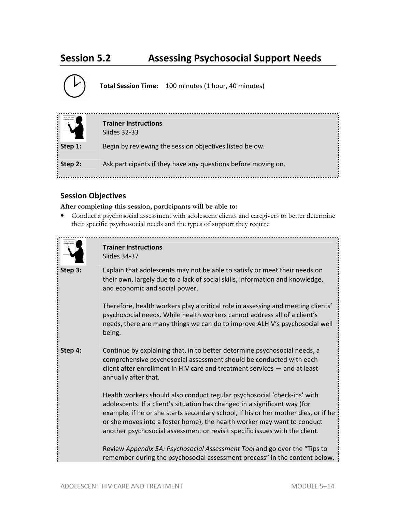# **Session 5.2 Assessing Psychosocial Support Needs**



**Total Session Time:** 100 minutes (1 hour, 40 minutes)

|            | <b>Trainer Instructions</b><br>Slides 32-33                   |
|------------|---------------------------------------------------------------|
| Step $1$ : | Begin by reviewing the session objectives listed below.       |
| Step 2:    | Ask participants if they have any questions before moving on. |

# **Session Objectives**

## **After completing this session, participants will be able to:**

• Conduct a psychosocial assessment with adolescent clients and caregivers to better determine their specific psychosocial needs and the types of support they require



# **Trainer Instructions**  Slides 34-37

**Step 3:** Explain that adolescents may not be able to satisfy or meet their needs on their own, largely due to a lack of social skills, information and knowledge, and economic and social power.

> Therefore, health workers play a critical role in assessing and meeting clients' psychosocial needs. While health workers cannot address all of a client's needs, there are many things we can do to improve ALHIV's psychosocial well being.

**Step 4:** Continue by explaining that, in to better determine psychosocial needs, a comprehensive psychosocial assessment should be conducted with each client after enrollment in HIV care and treatment services — and at least annually after that.

> Health workers should also conduct regular psychosocial 'check-ins' with adolescents. If a client's situation has changed in a significant way (for example, if he or she starts secondary school, if his or her mother dies, or if he or she moves into a foster home), the health worker may want to conduct another psychosocial assessment or revisit specific issues with the client.

> Review *Appendix 5A: Psychosocial Assessment Tool* and go over the "Tips to remember during the psychosocial assessment process" in the content below.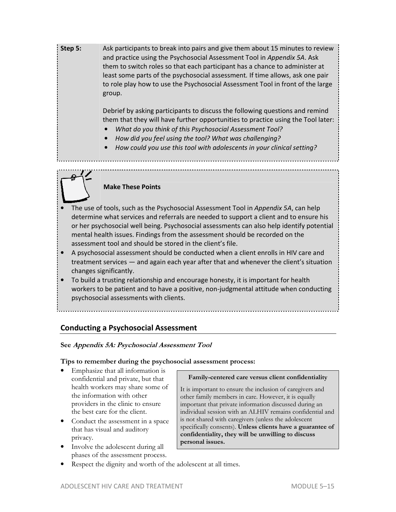**Step 5:** Ask participants to break into pairs and give them about 15 minutes to review and practice using the Psychosocial Assessment Tool in *Appendix 5A*. Ask them to switch roles so that each participant has a chance to administer at least some parts of the psychosocial assessment*.* If time allows, ask one pair to role play how to use the Psychosocial Assessment Tool in front of the large group.

> Debrief by asking participants to discuss the following questions and remind them that they will have further opportunities to practice using the Tool later:

- *What do you think of this Psychosocial Assessment Tool?*
- *How did you feel using the tool? What was challenging?*
- *How could you use this tool with adolescents in your clinical setting?*

# **Make These Points**

- The use of tools, such as the Psychosocial Assessment Tool in *Appendix 5A*, can help determine what services and referrals are needed to support a client and to ensure his or her psychosocial well being. Psychosocial assessments can also help identify potential mental health issues. Findings from the assessment should be recorded on the assessment tool and should be stored in the client's file.
- A psychosocial assessment should be conducted when a client enrolls in HIV care and treatment services — and again each year after that and whenever the client's situation changes significantly.
- To build a trusting relationship and encourage honesty, it is important for health workers to be patient and to have a positive, non-judgmental attitude when conducting psychosocial assessments with clients.

# **Conducting a Psychosocial Assessment**

## **See Appendix 5A: Psychosocial Assessment Tool**

## **Tips to remember during the psychosocial assessment process:**

- Emphasize that all information is confidential and private, but that health workers may share some of the information with other providers in the clinic to ensure the best care for the client.
- Conduct the assessment in a space that has visual and auditory privacy.
- Involve the adolescent during all phases of the assessment process.

**Family-centered care versus client confidentiality** 

It is important to ensure the inclusion of caregivers and other family members in care. However, it is equally important that private information discussed during an individual session with an ALHIV remains confidential and is not shared with caregivers (unless the adolescent specifically consents). **Unless clients have a guarantee of confidentiality, they will be unwilling to discuss personal issues.**

Respect the dignity and worth of the adolescent at all times.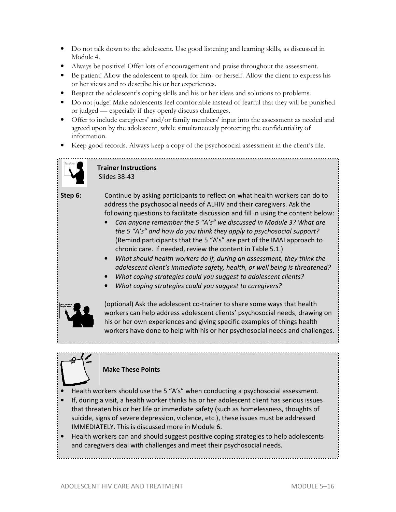- Do not talk down to the adolescent. Use good listening and learning skills, as discussed in Module 4.
- Always be positive! Offer lots of encouragement and praise throughout the assessment.
- Be patient! Allow the adolescent to speak for him- or herself. Allow the client to express his or her views and to describe his or her experiences.
- Respect the adolescent's coping skills and his or her ideas and solutions to problems.
- Do not judge! Make adolescents feel comfortable instead of fearful that they will be punished or judged — especially if they openly discuss challenges.
- Offer to include caregivers' and/or family members' input into the assessment as needed and agreed upon by the adolescent, while simultaneously protecting the confidentiality of information.
- Keep good records. Always keep a copy of the psychosocial assessment in the client's file.



 **Trainer Instructions**  Slides 38-43

**Step 6:** Continue by asking participants to reflect on what health workers can do to address the psychosocial needs of ALHIV and their caregivers. Ask the following questions to facilitate discussion and fill in using the content below:

- *Can anyone remember the 5 "A's" we discussed in Module 3? What are the 5 "A's" and how do you think they apply to psychosocial support?*  (Remind participants that the 5 "A's" are part of the IMAI approach to chronic care. If needed, review the content in Table 5.1.)
- *What should health workers do if, during an assessment, they think the adolescent client's immediate safety, health, or well being is threatened?*
- *What coping strategies could you suggest to adolescent clients?*
- *What coping strategies could you suggest to caregivers?*



(optional) Ask the adolescent co-trainer to share some ways that health workers can help address adolescent clients' psychosocial needs, drawing on his or her own experiences and giving specific examples of things health workers have done to help with his or her psychosocial needs and challenges.



**Make These Points** 

- Health workers should use the 5 "A's" when conducting a psychosocial assessment.
- If, during a visit, a health worker thinks his or her adolescent client has serious issues that threaten his or her life or immediate safety (such as homelessness, thoughts of suicide, signs of severe depression, violence, etc.), these issues must be addressed IMMEDIATELY. This is discussed more in Module 6.
- Health workers can and should suggest positive coping strategies to help adolescents and caregivers deal with challenges and meet their psychosocial needs.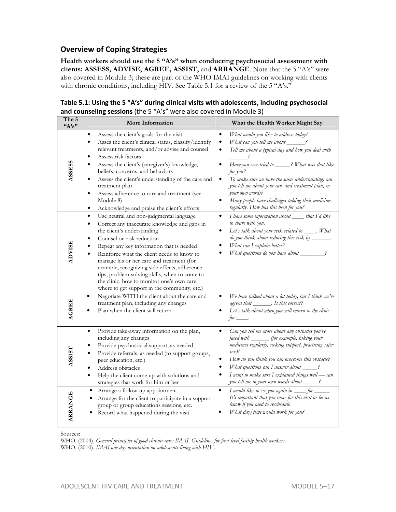# **Overview of Coping Strategies**

**Health workers should use the 5 "A's" when conducting psychosocial assessment with clients: ASSESS, ADVISE, AGREE, ASSIST,** and **ARRANGE**. Note that the 5 "A's" were also covered in Module 3; these are part of the WHO IMAI guidelines on working with clients with chronic conditions, including HIV. See Table 5.1 for a review of the 5 "A's."

| Table 5.1: Using the 5 "A's" during clinical visits with adolescents, including psychosocial |
|----------------------------------------------------------------------------------------------|
| and counseling sessions (the 5 "A's" were also covered in Module 3)                          |

| The 5<br>$A's$ " | More Information                                                                                                                                                                                                                                                                                                                                                                                                                                                                                                                                           | What the Health Worker Might Say                                                                                                                                                                                                                                                                                                                                                                                                                                                                          |
|------------------|------------------------------------------------------------------------------------------------------------------------------------------------------------------------------------------------------------------------------------------------------------------------------------------------------------------------------------------------------------------------------------------------------------------------------------------------------------------------------------------------------------------------------------------------------------|-----------------------------------------------------------------------------------------------------------------------------------------------------------------------------------------------------------------------------------------------------------------------------------------------------------------------------------------------------------------------------------------------------------------------------------------------------------------------------------------------------------|
| <b>ASSESS</b>    | Assess the client's goals for the visit<br>$\bullet$<br>Asses the client's clinical status, classify/identify<br>$\bullet$<br>relevant treatments, and/or advise and counsel<br>Assess risk factors<br>$\bullet$<br>Assess the client's (caregiver's) knowledge,<br>$\bullet$<br>beliefs, concerns, and behaviors<br>Assess the client's understanding of the care and<br>$\bullet$<br>treatment plan<br>Assess adherence to care and treatment (see<br>$\bullet$<br>Module 8)<br>Acknowledge and praise the client's efforts<br>$\bullet$                 | $\bullet$<br>What would you like to address today?<br>What can you tell me about _____?<br>$\bullet$<br>Tell me about a typical day and how you deal with<br>$\bullet$<br>Have you ever tried to _____? What was that like<br>$\bullet$<br>for you?<br>To make sure we have the same understanding, can<br>$\bullet$<br>you tell me about your care and treatment plan, in<br>your own words?<br>Many people have challenges taking their medicines<br>$\bullet$<br>regularly. How has this been for you? |
| <b>ADVISE</b>    | Use neutral and non-judgmental language<br>$\bullet$<br>Correct any inaccurate knowledge and gaps in<br>$\bullet$<br>the client's understanding<br>Counsel on risk reduction<br>$\bullet$<br>Repeat any key information that is needed<br>$\bullet$<br>Reinforce what the client needs to know to<br>$\bullet$<br>manage his or her care and treatment (for<br>example, recognizing side effects, adherence<br>tips, problem-solving skills, when to come to<br>the clinic, how to monitor one's own care,<br>where to get support in the community, etc.) | I have some information about _____ that I'd like<br>$\bullet$<br>to share with you.<br>Let's talk about your risk related to _____. What<br>$\bullet$<br>do you think about reducing this risk by ______.<br>What can I explain better?<br>$\bullet$<br>What questions do you have about _______?                                                                                                                                                                                                        |
| <b>AGREE</b>     | Negotiate WITH the client about the care and<br>$\bullet$<br>treatment plan, including any changes<br>Plan when the client will return<br>$\bullet$                                                                                                                                                                                                                                                                                                                                                                                                        | We have talked about a lot today, but I think we've<br>$\bullet$<br>agreed that ________. Is this correct?<br>Let's talk about when you will return to the clinic<br>$for \_\_$                                                                                                                                                                                                                                                                                                                           |
| <b>ASSIST</b>    | Provide take-away information on the plan,<br>$\bullet$<br>including any changes<br>Provide psychosocial support, as needed<br>$\bullet$<br>Provide referrals, as needed (to support groups,<br>$\bullet$<br>peer education, etc.)<br>Address obstacles<br>$\bullet$<br>Help the client come up with solutions and<br>$\bullet$<br>strategies that work for him or her                                                                                                                                                                                     | Can you tell me more about any obstacles you've<br>$\bullet$<br>faced with _______ (for example, taking your<br>medicines regularly, seeking support, practicing safer<br>$sex$ )?<br>How do you think you can overcome this obstacle?<br>$\bullet$<br>What questions can I answer about $\_\_\$ ?<br>$\bullet$<br>I want to make sure I explained things well - can<br>$\bullet$<br>you tell me in your own words about _____?                                                                           |
| <b>ARRANGE</b>   | Arrange a follow-up appointment<br>Arrange for the client to participate in a support<br>group or group educations sessions, etc.<br>Record what happened during the visit                                                                                                                                                                                                                                                                                                                                                                                 | I would like to see you again in _____ for ______.<br>$\bullet$<br>It's important that you come for this visit or let us<br>know if you need to reschedule.<br>What day/time would work for you?                                                                                                                                                                                                                                                                                                          |

Sources:

WHO. (2004). *General principles of good chronic care: IMAI. Guidelines for first-level facility health workers.* WHO. (2010). *IMAI one-day orientation on adolescents living with HIV.*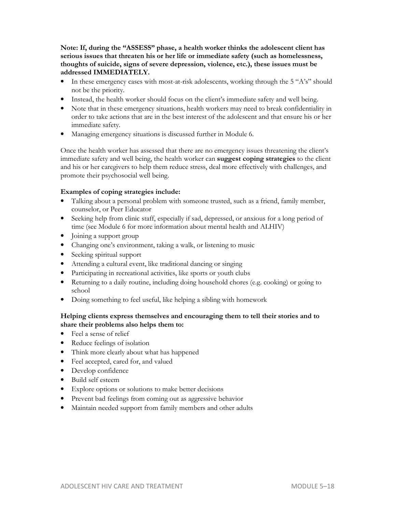**Note: If, during the "ASSESS" phase, a health worker thinks the adolescent client has serious issues that threaten his or her life or immediate safety (such as homelessness, thoughts of suicide, signs of severe depression, violence, etc.), these issues must be addressed IMMEDIATELY.** 

- In these emergency cases with most-at-risk adolescents, working through the 5 "A's" should not be the priority.
- Instead, the health worker should focus on the client's immediate safety and well being.
- Note that in these emergency situations, health workers may need to break confidentiality in order to take actions that are in the best interest of the adolescent and that ensure his or her immediate safety.
- Managing emergency situations is discussed further in Module 6.

Once the health worker has assessed that there are no emergency issues threatening the client's immediate safety and well being, the health worker can **suggest coping strategies** to the client and his or her caregivers to help them reduce stress, deal more effectively with challenges, and promote their psychosocial well being.

## **Examples of coping strategies include:**

- Talking about a personal problem with someone trusted, such as a friend, family member, counselor, or Peer Educator
- Seeking help from clinic staff, especially if sad, depressed, or anxious for a long period of time (see Module 6 for more information about mental health and ALHIV)
- Joining a support group
- Changing one's environment, taking a walk, or listening to music
- Seeking spiritual support
- Attending a cultural event, like traditional dancing or singing
- Participating in recreational activities, like sports or youth clubs
- Returning to a daily routine, including doing household chores (e.g. cooking) or going to school
- Doing something to feel useful, like helping a sibling with homework

# **Helping clients express themselves and encouraging them to tell their stories and to share their problems also helps them to:**

- Feel a sense of relief
- Reduce feelings of isolation
- Think more clearly about what has happened
- Feel accepted, cared for, and valued
- Develop confidence
- Build self esteem
- Explore options or solutions to make better decisions
- Prevent bad feelings from coming out as aggressive behavior
- Maintain needed support from family members and other adults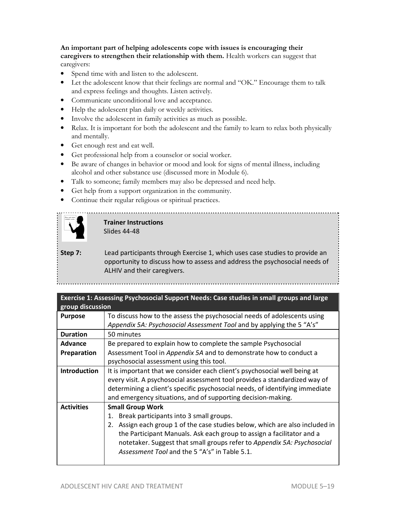**An important part of helping adolescents cope with issues is encouraging their caregivers to strengthen their relationship with them.** Health workers can suggest that caregivers:

- Spend time with and listen to the adolescent.
- Let the adolescent know that their feelings are normal and "OK." Encourage them to talk and express feelings and thoughts. Listen actively.
- Communicate unconditional love and acceptance.
- Help the adolescent plan daily or weekly activities.
- Involve the adolescent in family activities as much as possible.
- Relax. It is important for both the adolescent and the family to learn to relax both physically and mentally.
- Get enough rest and eat well.
- Get professional help from a counselor or social worker.
- Be aware of changes in behavior or mood and look for signs of mental illness, including alcohol and other substance use (discussed more in Module 6).
- Talk to someone; family members may also be depressed and need help.
- Get help from a support organization in the community.
- Continue their regular religious or spiritual practices.



# **Trainer Instructions**  Slides 44-48

**Step 7:** Lead participants through Exercise 1, which uses case studies to provide an opportunity to discuss how to assess and address the psychosocial needs of ALHIV and their caregivers.

| Exercise 1: Assessing Psychosocial Support Needs: Case studies in small groups and large<br>group discussion |                                                                                 |  |
|--------------------------------------------------------------------------------------------------------------|---------------------------------------------------------------------------------|--|
| <b>Purpose</b>                                                                                               | To discuss how to the assess the psychosocial needs of adolescents using        |  |
|                                                                                                              | Appendix 5A: Psychosocial Assessment Tool and by applying the 5 "A's"           |  |
| <b>Duration</b>                                                                                              | 50 minutes                                                                      |  |
| Advance                                                                                                      | Be prepared to explain how to complete the sample Psychosocial                  |  |
| Preparation                                                                                                  | Assessment Tool in Appendix 5A and to demonstrate how to conduct a              |  |
|                                                                                                              | psychosocial assessment using this tool.                                        |  |
| <b>Introduction</b>                                                                                          | It is important that we consider each client's psychosocial well being at       |  |
|                                                                                                              | every visit. A psychosocial assessment tool provides a standardized way of      |  |
|                                                                                                              | determining a client's specific psychosocial needs, of identifying immediate    |  |
|                                                                                                              | and emergency situations, and of supporting decision-making.                    |  |
| <b>Activities</b>                                                                                            | <b>Small Group Work</b>                                                         |  |
|                                                                                                              | Break participants into 3 small groups.<br>1.                                   |  |
|                                                                                                              | Assign each group 1 of the case studies below, which are also included in<br>2. |  |
|                                                                                                              | the Participant Manuals. Ask each group to assign a facilitator and a           |  |
|                                                                                                              | notetaker. Suggest that small groups refer to Appendix 5A: Psychosocial         |  |
|                                                                                                              | Assessment Tool and the 5 "A's" in Table 5.1.                                   |  |
|                                                                                                              |                                                                                 |  |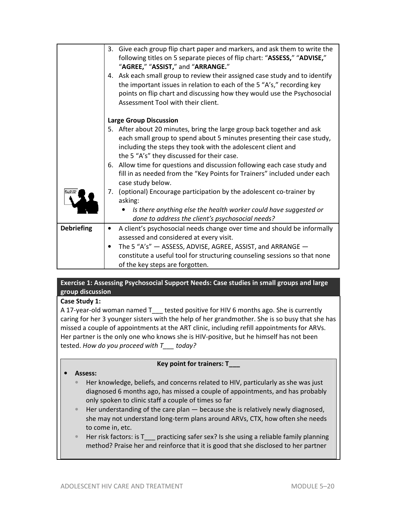|                   | 3. Give each group flip chart paper and markers, and ask them to write the<br>following titles on 5 separate pieces of flip chart: "ASSESS," "ADVISE,"<br>"AGREE," "ASSIST," and "ARRANGE."<br>4. Ask each small group to review their assigned case study and to identify<br>the important issues in relation to each of the 5 "A's," recording key<br>points on flip chart and discussing how they would use the Psychosocial |
|-------------------|---------------------------------------------------------------------------------------------------------------------------------------------------------------------------------------------------------------------------------------------------------------------------------------------------------------------------------------------------------------------------------------------------------------------------------|
|                   | Assessment Tool with their client.                                                                                                                                                                                                                                                                                                                                                                                              |
|                   | <b>Large Group Discussion</b>                                                                                                                                                                                                                                                                                                                                                                                                   |
|                   | 5. After about 20 minutes, bring the large group back together and ask<br>each small group to spend about 5 minutes presenting their case study,<br>including the steps they took with the adolescent client and<br>the 5 "A's" they discussed for their case.                                                                                                                                                                  |
|                   | 6. Allow time for questions and discussion following each case study and<br>fill in as needed from the "Key Points for Trainers" included under each<br>case study below.                                                                                                                                                                                                                                                       |
|                   | 7. (optional) Encourage participation by the adolescent co-trainer by<br>asking:                                                                                                                                                                                                                                                                                                                                                |
|                   | Is there anything else the health worker could have suggested or<br>done to address the client's psychosocial needs?                                                                                                                                                                                                                                                                                                            |
| <b>Debriefing</b> | A client's psychosocial needs change over time and should be informally<br>٠                                                                                                                                                                                                                                                                                                                                                    |
|                   | assessed and considered at every visit.                                                                                                                                                                                                                                                                                                                                                                                         |
|                   | The 5 "A's" - ASSESS, ADVISE, AGREE, ASSIST, and ARRANGE -                                                                                                                                                                                                                                                                                                                                                                      |
|                   | constitute a useful tool for structuring counseling sessions so that none                                                                                                                                                                                                                                                                                                                                                       |
|                   | of the key steps are forgotten.                                                                                                                                                                                                                                                                                                                                                                                                 |

# **Exercise 1: Assessing Psychosocial Support Needs: Case studies in small groups and large group discussion**

# **Case Study 1:**

A 17-year-old woman named T\_\_\_ tested positive for HIV 6 months ago. She is currently caring for her 3 younger sisters with the help of her grandmother. She is so busy that she has missed a couple of appointments at the ART clinic, including refill appointments for ARVs. Her partner is the only one who knows she is HIV-positive, but he himself has not been tested. *How do you proceed with T\_\_\_ today?*

# **Key point for trainers: T\_\_\_**

# • **Assess:**

- Her knowledge, beliefs, and concerns related to HIV, particularly as she was just diagnosed 6 months ago, has missed a couple of appointments, and has probably only spoken to clinic staff a couple of times so far
- Her understanding of the care plan because she is relatively newly diagnosed, she may not understand long-term plans around ARVs, CTX, how often she needs to come in, etc.
- Her risk factors: is T\_\_\_ practicing safer sex? Is she using a reliable family planning method? Praise her and reinforce that it is good that she disclosed to her partner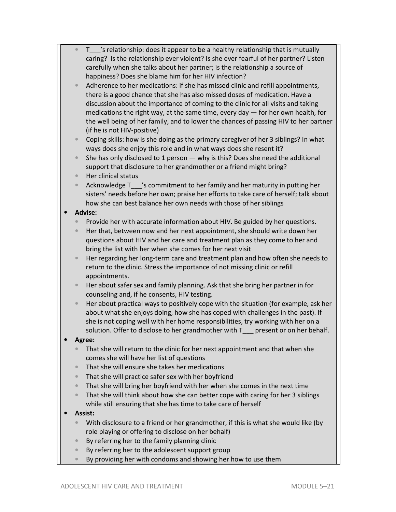| $\bullet$ | T__ 's relationship: does it appear to be a healthy relationship that is mutually     |
|-----------|---------------------------------------------------------------------------------------|
|           | caring? Is the relationship ever violent? Is she ever fearful of her partner? Listen  |
|           | carefully when she talks about her partner; is the relationship a source of           |
|           | happiness? Does she blame him for her HIV infection?                                  |
| $\bullet$ | Adherence to her medications: if she has missed clinic and refill appointments,       |
|           | there is a good chance that she has also missed doses of medication. Have a           |
|           | discussion about the importance of coming to the clinic for all visits and taking     |
|           |                                                                                       |
|           | medications the right way, at the same time, every day $-$ for her own health, for    |
|           | the well being of her family, and to lower the chances of passing HIV to her partner  |
|           | (if he is not HIV-positive)                                                           |
| $\bullet$ | Coping skills: how is she doing as the primary caregiver of her 3 siblings? In what   |
|           | ways does she enjoy this role and in what ways does she resent it?                    |
| $\bullet$ | She has only disclosed to 1 person $-$ why is this? Does she need the additional      |
|           | support that disclosure to her grandmother or a friend might bring?                   |
|           | Her clinical status                                                                   |
| $\bullet$ | Acknowledge T <sup>2</sup> s commitment to her family and her maturity in putting her |
|           | sisters' needs before her own; praise her efforts to take care of herself; talk about |
|           | how she can best balance her own needs with those of her siblings                     |
|           | <b>Advise:</b>                                                                        |
|           |                                                                                       |
| $\bullet$ | Provide her with accurate information about HIV. Be guided by her questions.          |
| $\bullet$ | Her that, between now and her next appointment, she should write down her             |
|           | questions about HIV and her care and treatment plan as they come to her and           |
|           | bring the list with her when she comes for her next visit                             |
| $\bullet$ | Her regarding her long-term care and treatment plan and how often she needs to        |
|           | return to the clinic. Stress the importance of not missing clinic or refill           |
|           | appointments.                                                                         |
| $\bullet$ | Her about safer sex and family planning. Ask that she bring her partner in for        |
|           | counseling and, if he consents, HIV testing.                                          |
| $\bullet$ | Her about practical ways to positively cope with the situation (for example, ask her  |
|           | about what she enjoys doing, how she has coped with challenges in the past). If       |
|           | she is not coping well with her home responsibilities, try working with her on a      |
|           | solution. Offer to disclose to her grandmother with T_<br>present or on her behalf.   |
|           | Agree:                                                                                |
|           | That she will return to the clinic for her next appointment and that when she         |
|           | comes she will have her list of questions                                             |
| $\bullet$ | That she will ensure she takes her medications                                        |
|           |                                                                                       |
| $\bullet$ | That she will practice safer sex with her boyfriend                                   |
| $\bullet$ | That she will bring her boyfriend with her when she comes in the next time            |
| $\bullet$ | That she will think about how she can better cope with caring for her 3 siblings      |
|           | while still ensuring that she has time to take care of herself                        |
|           | Assist:                                                                               |
| $\bullet$ | With disclosure to a friend or her grandmother, if this is what she would like (by    |
|           | role playing or offering to disclose on her behalf)                                   |
| $\bullet$ | By referring her to the family planning clinic                                        |
| $\bullet$ | By referring her to the adolescent support group                                      |
| $\bullet$ | By providing her with condoms and showing her how to use them                         |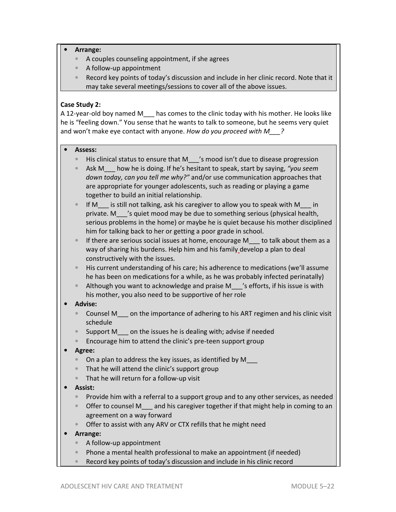## • **Arrange:**

- A couples counseling appointment, if she agrees
- A follow-up appointment
- Record key points of today's discussion and include in her clinic record. Note that it may take several meetings/sessions to cover all of the above issues.

# **Case Study 2:**

A 12-year-old boy named M\_\_\_ has comes to the clinic today with his mother. He looks like he is "feeling down." You sense that he wants to talk to someone, but he seems very quiet and won't make eye contact with anyone. *How do you proceed with M\_\_\_?*

#### • **Assess:**

- His clinical status to ensure that M\_\_\_\_'s mood isn't due to disease progression
- Ask M\_\_\_ how he is doing. If he's hesitant to speak, start by saying, *"you seem down today, can you tell me why?"* and/or use communication approaches that are appropriate for younger adolescents, such as reading or playing a game together to build an initial relationship.

If M is still not talking, ask his caregiver to allow you to speak with M in private. M\_\_\_'s quiet mood may be due to something serious (physical health, serious problems in the home) or maybe he is quiet because his mother disciplined him for talking back to her or getting a poor grade in school.

- If there are serious social issues at home, encourage  $M_{\text{tot}}$  to talk about them as a way of sharing his burdens. Help him and his family develop a plan to deal constructively with the issues.
- His current understanding of his care; his adherence to medications (we'll assume he has been on medications for a while, as he was probably infected perinatally)
- Although you want to acknowledge and praise M\_\_\_'s efforts, if his issue is with his mother, you also need to be supportive of her role

## • **Advise:**

- Counsel M\_\_\_ on the importance of adhering to his ART regimen and his clinic visit schedule
- Support M con the issues he is dealing with; advise if needed
- Encourage him to attend the clinic's pre-teen support group
- **Agree:** 
	- On a plan to address the key issues, as identified by M\_\_\_
	- That he will attend the clinic's support group
	- That he will return for a follow-up visit
- **Assist:** 
	- Provide him with a referral to a support group and to any other services, as needed
	- Offer to counsel M\_\_\_ and his caregiver together if that might help in coming to an agreement on a way forward
	- Offer to assist with any ARV or CTX refills that he might need
- **Arrange:** 
	- A follow-up appointment
	- Phone a mental health professional to make an appointment (if needed)
	- Record key points of today's discussion and include in his clinic record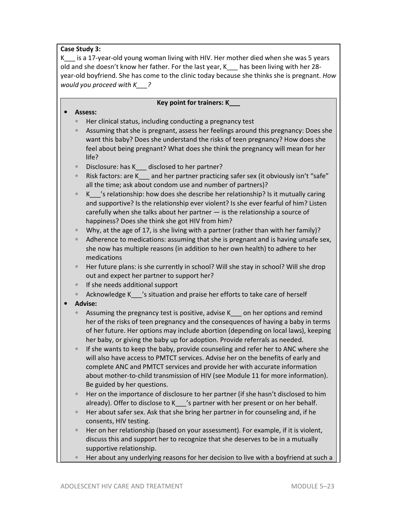# **Case Study 3:**

K\_\_\_ is a 17-year-old young woman living with HIV. Her mother died when she was 5 years old and she doesn't know her father. For the last year, K\_\_\_ has been living with her 28 year-old boyfriend. She has come to the clinic today because she thinks she is pregnant. *How would you proceed with K\_\_\_?* 

# **Key point for trainers: K\_\_\_**  • **Assess:**  • Her clinical status, including conducting a pregnancy test • Assuming that she is pregnant, assess her feelings around this pregnancy: Does she want this baby? Does she understand the risks of teen pregnancy? How does she feel about being pregnant? What does she think the pregnancy will mean for her life? • Disclosure: has K\_\_\_ disclosed to her partner? Risk factors: are K and her partner practicing safer sex (it obviously isn't "safe" all the time; ask about condom use and number of partners)?  $K$   $\prime$ 's relationship: how does she describe her relationship? Is it mutually caring and supportive? Is the relationship ever violent? Is she ever fearful of him? Listen carefully when she talks about her partner — is the relationship a source of happiness? Does she think she got HIV from him? • Why, at the age of 17, is she living with a partner (rather than with her family)? • Adherence to medications: assuming that she is pregnant and is having unsafe sex, she now has multiple reasons (in addition to her own health) to adhere to her medications • Her future plans: is she currently in school? Will she stay in school? Will she drop out and expect her partner to support her?

- If she needs additional support
- Acknowledge K\_\_\_'s situation and praise her efforts to take care of herself
- **Advise:** 
	- Assuming the pregnancy test is positive, advise K<sub>no</sub> on her options and remind her of the risks of teen pregnancy and the consequences of having a baby in terms of her future. Her options may include abortion (depending on local laws), keeping her baby, or giving the baby up for adoption. Provide referrals as needed.
	- If she wants to keep the baby, provide counseling and refer her to ANC where she will also have access to PMTCT services. Advise her on the benefits of early and complete ANC and PMTCT services and provide her with accurate information about mother-to-child transmission of HIV (see Module 11 for more information). Be guided by her questions.
	- Her on the importance of disclosure to her partner (if she hasn't disclosed to him already). Offer to disclose to K\_\_\_'s partner with her present or on her behalf.
	- Her about safer sex. Ask that she bring her partner in for counseling and, if he consents, HIV testing.
	- Her on her relationship (based on your assessment). For example, if it is violent, discuss this and support her to recognize that she deserves to be in a mutually supportive relationship.
	- Her about any underlying reasons for her decision to live with a boyfriend at such a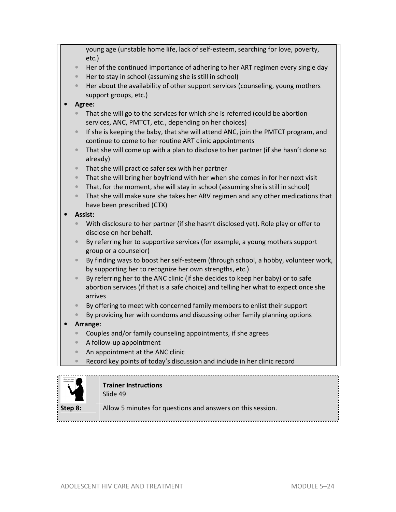|  |           | young age (unstable home life, lack of self-esteem, searching for love, poverty,<br>$etc.$ )                                         |  |
|--|-----------|--------------------------------------------------------------------------------------------------------------------------------------|--|
|  | $\bullet$ | Her of the continued importance of adhering to her ART regimen every single day                                                      |  |
|  | $\bullet$ | Her to stay in school (assuming she is still in school)                                                                              |  |
|  | $\bullet$ | Her about the availability of other support services (counseling, young mothers                                                      |  |
|  |           | support groups, etc.)                                                                                                                |  |
|  | Agree:    |                                                                                                                                      |  |
|  |           | That she will go to the services for which she is referred (could be abortion                                                        |  |
|  |           | services, ANC, PMTCT, etc., depending on her choices)                                                                                |  |
|  | $\bullet$ | If she is keeping the baby, that she will attend ANC, join the PMTCT program, and                                                    |  |
|  |           | continue to come to her routine ART clinic appointments                                                                              |  |
|  | $\bullet$ | That she will come up with a plan to disclose to her partner (if she hasn't done so                                                  |  |
|  | $\bullet$ | already)                                                                                                                             |  |
|  | $\bullet$ | That she will practice safer sex with her partner<br>That she will bring her boyfriend with her when she comes in for her next visit |  |
|  | $\bullet$ | That, for the moment, she will stay in school (assuming she is still in school)                                                      |  |
|  | $\bullet$ | That she will make sure she takes her ARV regimen and any other medications that                                                     |  |
|  |           | have been prescribed (CTX)                                                                                                           |  |
|  |           | Assist:                                                                                                                              |  |
|  | $\bullet$ | With disclosure to her partner (if she hasn't disclosed yet). Role play or offer to                                                  |  |
|  |           | disclose on her behalf.                                                                                                              |  |
|  | $\bullet$ | By referring her to supportive services (for example, a young mothers support                                                        |  |
|  |           | group or a counselor)                                                                                                                |  |
|  | $\bullet$ | By finding ways to boost her self-esteem (through school, a hobby, volunteer work,                                                   |  |
|  |           | by supporting her to recognize her own strengths, etc.)                                                                              |  |
|  | $\bullet$ | By referring her to the ANC clinic (if she decides to keep her baby) or to safe                                                      |  |
|  |           | abortion services (if that is a safe choice) and telling her what to expect once she                                                 |  |
|  |           | arrives                                                                                                                              |  |
|  | $\bullet$ | By offering to meet with concerned family members to enlist their support                                                            |  |
|  |           | By providing her with condoms and discussing other family planning options                                                           |  |
|  | $\bullet$ | Arrange:                                                                                                                             |  |
|  | $\bullet$ | Couples and/or family counseling appointments, if she agrees<br>A follow-up appointment                                              |  |
|  |           |                                                                                                                                      |  |
|  |           | An appointment at the ANC clinic                                                                                                     |  |
|  |           | Record key points of today's discussion and include in her clinic record                                                             |  |



# **Trainer Instructions**

Slide 49

**Step 8:** Allow 5 minutes for questions and answers on this session.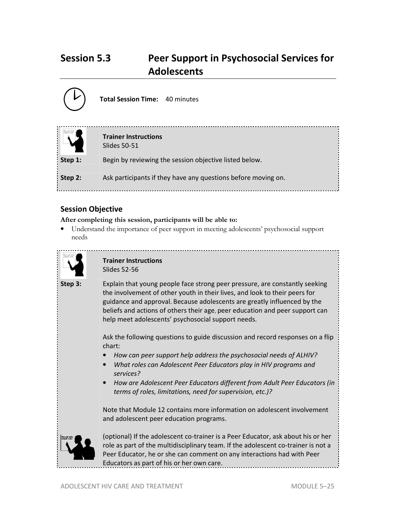# **Session 5.3 Peer Support in Psychosocial Services for Adolescents**



**Total Session Time:** 40 minutes

| Una als tale | <b>Trainer Instructions</b><br>Slides 50-51                   |
|--------------|---------------------------------------------------------------|
| Step 1:      | Begin by reviewing the session objective listed below.        |
| Step 2:      | Ask participants if they have any questions before moving on. |

# **Session Objective**

**After completing this session, participants will be able to:**

• Understand the importance of peer support in meeting adolescents' psychosocial support needs



# **Trainer Instructions**  Slides 52-56

**Step 3:** Explain that young people face strong peer pressure, are constantly seeking the involvement of other youth in their lives, and look to their peers for guidance and approval. Because adolescents are greatly influenced by the beliefs and actions of others their age, peer education and peer support can help meet adolescents' psychosocial support needs.

> Ask the following questions to guide discussion and record responses on a flip chart:

- *How can peer support help address the psychosocial needs of ALHIV?*
- *What roles can Adolescent Peer Educators play in HIV programs and services?*
- *How are Adolescent Peer Educators different from Adult Peer Educators (in terms of roles, limitations, need for supervision, etc.)?*

Note that Module 12 contains more information on adolescent involvement and adolescent peer education programs.



(optional) If the adolescent co-trainer is a Peer Educator, ask about his or her role as part of the multidisciplinary team. If the adolescent co-trainer is not a Peer Educator, he or she can comment on any interactions had with Peer Educators as part of his or her own care.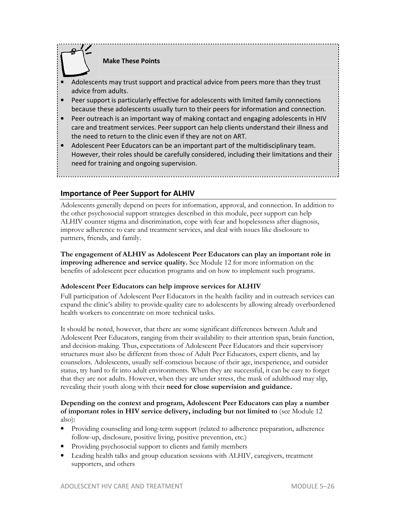# **Make These Points**

- Adolescents may trust support and practical advice from peers more than they trust advice from adults.
- Peer support is particularly effective for adolescents with limited family connections because these adolescents usually turn to their peers for information and connection.
- Peer outreach is an important way of making contact and engaging adolescents in HIV care and treatment services. Peer support can help clients understand their illness and the need to return to the clinic even if they are not on ART.
- Adolescent Peer Educators can be an important part of the multidisciplinary team. However, their roles should be carefully considered, including their limitations and their need for training and ongoing supervision.

# **Importance of Peer Support for ALHIV**

Adolescents generally depend on peers for information, approval, and connection. In addition to the other psychosocial support strategies described in this module, peer support can help ALHIV counter stigma and discrimination, cope with fear and hopelessness after diagnosis, improve adherence to care and treatment services, and deal with issues like disclosure to partners, friends, and family.

**The engagement of ALHIV as Adolescent Peer Educators can play an important role in improving adherence and service quality.** See Module 12 for more information on the benefits of adolescent peer education programs and on how to implement such programs.

## **Adolescent Peer Educators can help improve services for ALHIV**

Full participation of Adolescent Peer Educators in the health facility and in outreach services can expand the clinic's ability to provide quality care to adolescents by allowing already overburdened health workers to concentrate on more technical tasks.

It should be noted, however, that there are some significant differences between Adult and Adolescent Peer Educators, ranging from their availability to their attention span, brain function, and decision-making. Thus, expectations of Adolescent Peer Educators and their supervisory structures must also be different from those of Adult Peer Educators, expert clients, and lay counselors. Adolescents, usually self-conscious because of their age, inexperience, and outsider status, try hard to fit into adult environments. When they are successful, it can be easy to forget that they are not adults. However, when they are under stress, the mask of adulthood may slip, revealing their youth along with their **need for close supervision and guidance.**

# **Depending on the context and program, Adolescent Peer Educators can play a number of important roles in HIV service delivery, including but not limited to** (see Module 12 also):

- Providing counseling and long-term support (related to adherence preparation, adherence follow-up, disclosure, positive living, positive prevention, etc.)
- Providing psychosocial support to clients and family members
- Leading health talks and group education sessions with ALHIV, caregivers, treatment supporters, and others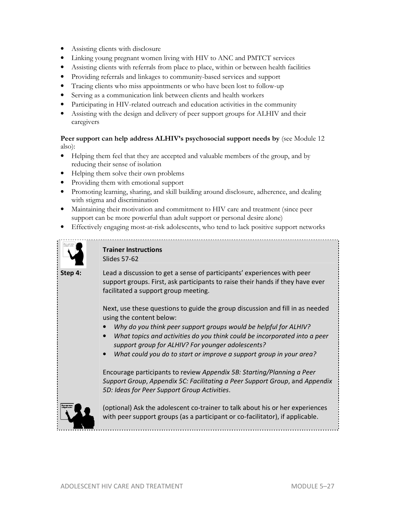- Assisting clients with disclosure
- Linking young pregnant women living with HIV to ANC and PMTCT services
- Assisting clients with referrals from place to place, within or between health facilities
- Providing referrals and linkages to community-based services and support
- Tracing clients who miss appointments or who have been lost to follow-up
- Serving as a communication link between clients and health workers
- Participating in HIV-related outreach and education activities in the community
- Assisting with the design and delivery of peer support groups for ALHIV and their caregivers

# **Peer support can help address ALHIV's psychosocial support needs by** (see Module 12 also):

- Helping them feel that they are accepted and valuable members of the group, and by reducing their sense of isolation
- Helping them solve their own problems
- Providing them with emotional support
- Promoting learning, sharing, and skill building around disclosure, adherence, and dealing with stigma and discrimination
- Maintaining their motivation and commitment to HIV care and treatment (since peer support can be more powerful than adult support or personal desire alone)
- Effectively engaging most-at-risk adolescents, who tend to lack positive support networks



# **Trainer Instructions**  Slides 57-62

**Step 4:** Lead a discussion to get a sense of participants' experiences with peer support groups. First, ask participants to raise their hands if they have ever facilitated a support group meeting.

> Next, use these questions to guide the group discussion and fill in as needed using the content below:

- *Why do you think peer support groups would be helpful for ALHIV?*
- *What topics and activities do you think could be incorporated into a peer support group for ALHIV? For younger adolescents?*
- *What could you do to start or improve a support group in your area?*

Encourage participants to review *Appendix 5B: Starting/Planning a Peer Support Group*, *Appendix 5C: Facilitating a Peer Support Group*, and *Appendix 5D: Ideas for Peer Support Group Activities*.



(optional) Ask the adolescent co-trainer to talk about his or her experiences with peer support groups (as a participant or co-facilitator), if applicable.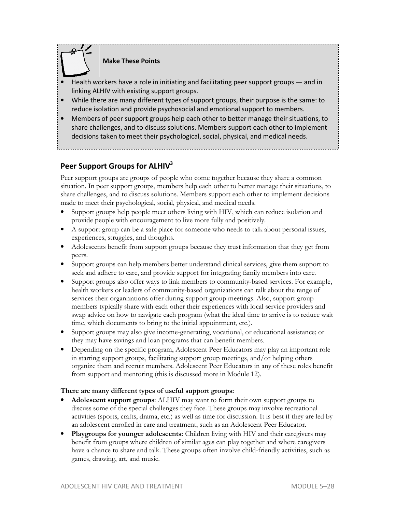

**Make These Points** 

- Health workers have a role in initiating and facilitating peer support groups and in linking ALHIV with existing support groups.
- While there are many different types of support groups, their purpose is the same: to reduce isolation and provide psychosocial and emotional support to members.
- Members of peer support groups help each other to better manage their situations, to share challenges, and to discuss solutions. Members support each other to implement decisions taken to meet their psychological, social, physical, and medical needs.

# **Peer Support Groups for ALHIV<sup>3</sup>**

Peer support groups are groups of people who come together because they share a common situation. In peer support groups, members help each other to better manage their situations, to share challenges, and to discuss solutions. Members support each other to implement decisions made to meet their psychological, social, physical, and medical needs.

- Support groups help people meet others living with HIV, which can reduce isolation and provide people with encouragement to live more fully and positively.
- A support group can be a safe place for someone who needs to talk about personal issues, experiences, struggles, and thoughts.
- Adolescents benefit from support groups because they trust information that they get from peers.
- Support groups can help members better understand clinical services, give them support to seek and adhere to care, and provide support for integrating family members into care.
- Support groups also offer ways to link members to community-based services. For example, health workers or leaders of community-based organizations can talk about the range of services their organizations offer during support group meetings. Also, support group members typically share with each other their experiences with local service providers and swap advice on how to navigate each program (what the ideal time to arrive is to reduce wait time, which documents to bring to the initial appointment, etc.).
- Support groups may also give income-generating, vocational, or educational assistance; or they may have savings and loan programs that can benefit members.
- Depending on the specific program, Adolescent Peer Educators may play an important role in starting support groups, facilitating support group meetings, and/or helping others organize them and recruit members. Adolescent Peer Educators in any of these roles benefit from support and mentoring (this is discussed more in Module 12).

## **There are many different types of useful support groups:**

- **Adolescent support groups**: ALHIV may want to form their own support groups to discuss some of the special challenges they face. These groups may involve recreational activities (sports, crafts, drama, etc.) as well as time for discussion. It is best if they are led by an adolescent enrolled in care and treatment, such as an Adolescent Peer Educator.
- **Playgroups for younger adolescents:** Children living with HIV and their caregivers may benefit from groups where children of similar ages can play together and where caregivers have a chance to share and talk. These groups often involve child-friendly activities, such as games, drawing, art, and music.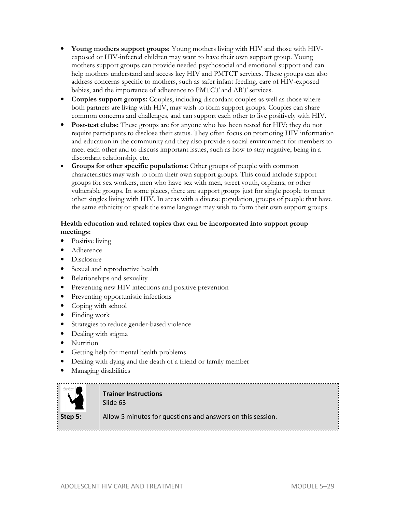- **Young mothers support groups:** Young mothers living with HIV and those with HIVexposed or HIV-infected children may want to have their own support group. Young mothers support groups can provide needed psychosocial and emotional support and can help mothers understand and access key HIV and PMTCT services. These groups can also address concerns specific to mothers, such as safer infant feeding, care of HIV-exposed babies, and the importance of adherence to PMTCT and ART services.
- **Couples support groups:** Couples, including discordant couples as well as those where both partners are living with HIV, may wish to form support groups. Couples can share common concerns and challenges, and can support each other to live positively with HIV.
- **Post-test clubs:** These groups are for anyone who has been tested for HIV; they do not require participants to disclose their status. They often focus on promoting HIV information and education in the community and they also provide a social environment for members to meet each other and to discuss important issues, such as how to stay negative, being in a discordant relationship, etc.
- **Groups for other specific populations:** Other groups of people with common characteristics may wish to form their own support groups. This could include support groups for sex workers, men who have sex with men, street youth, orphans, or other vulnerable groups. In some places, there are support groups just for single people to meet other singles living with HIV. In areas with a diverse population, groups of people that have the same ethnicity or speak the same language may wish to form their own support groups.

# **Health education and related topics that can be incorporated into support group meetings:**

- Positive living
- Adherence
- Disclosure
- Sexual and reproductive health
- Relationships and sexuality
- Preventing new HIV infections and positive prevention
- Preventing opportunistic infections
- Coping with school
- Finding work
- Strategies to reduce gender-based violence
- Dealing with stigma
- Nutrition
- Getting help for mental health problems
- Dealing with dying and the death of a friend or family member
- Managing disabilities



# **Trainer Instructions**  Slide 63

**Step 5:** Allow 5 minutes for questions and answers on this session.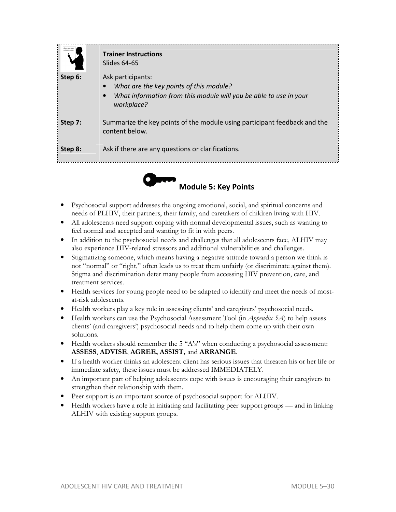| Step 6:            | <b>Trainer Instructions</b><br>Slides 64-65<br>Ask participants:<br>What are the key points of this module?<br>What information from this module will you be able to use in your<br>workplace? |
|--------------------|------------------------------------------------------------------------------------------------------------------------------------------------------------------------------------------------|
| Step 7:<br>Step 8: | Summarize the key points of the module using participant feedback and the<br>content below.<br>Ask if there are any questions or clarifications.                                               |
|                    |                                                                                                                                                                                                |



- Psychosocial support addresses the ongoing emotional, social, and spiritual concerns and needs of PLHIV, their partners, their family, and caretakers of children living with HIV.
- All adolescents need support coping with normal developmental issues, such as wanting to feel normal and accepted and wanting to fit in with peers.
- In addition to the psychosocial needs and challenges that all adolescents face, ALHIV may also experience HIV-related stressors and additional vulnerabilities and challenges.
- Stigmatizing someone, which means having a negative attitude toward a person we think is not "normal" or "right," often leads us to treat them unfairly (or discriminate against them). Stigma and discrimination deter many people from accessing HIV prevention, care, and treatment services.
- Health services for young people need to be adapted to identify and meet the needs of mostat-risk adolescents.
- Health workers play a key role in assessing clients' and caregivers' psychosocial needs.
- Health workers can use the Psychosocial Assessment Tool (in *Appendix 5A*) to help assess clients' (and caregivers') psychosocial needs and to help them come up with their own solutions.
- Health workers should remember the 5 "A's" when conducting a psychosocial assessment: **ASSESS**, **ADVISE**, **AGREE, ASSIST,** and **ARRANGE**.
- If a health worker thinks an adolescent client has serious issues that threaten his or her life or immediate safety, these issues must be addressed IMMEDIATELY.
- An important part of helping adolescents cope with issues is encouraging their caregivers to strengthen their relationship with them.
- Peer support is an important source of psychosocial support for ALHIV.
- Health workers have a role in initiating and facilitating peer support groups and in linking ALHIV with existing support groups.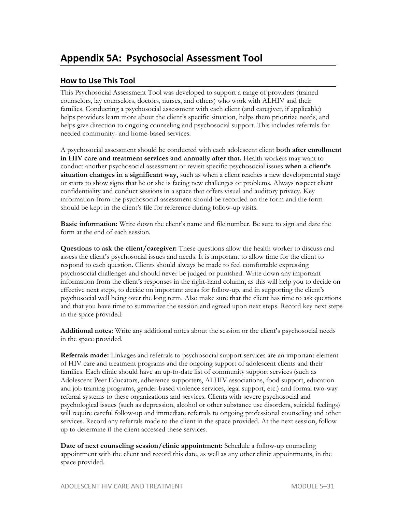# **How to Use This Tool**

This Psychosocial Assessment Tool was developed to support a range of providers (trained counselors, lay counselors, doctors, nurses, and others) who work with ALHIV and their families. Conducting a psychosocial assessment with each client (and caregiver, if applicable) helps providers learn more about the client's specific situation, helps them prioritize needs, and helps give direction to ongoing counseling and psychosocial support. This includes referrals for needed community- and home-based services.

A psychosocial assessment should be conducted with each adolescent client **both after enrollment in HIV care and treatment services and annually after that.** Health workers may want to conduct another psychosocial assessment or revisit specific psychosocial issues **when a client's situation changes in a significant way,** such as when a client reaches a new developmental stage or starts to show signs that he or she is facing new challenges or problems. Always respect client confidentiality and conduct sessions in a space that offers visual and auditory privacy. Key information from the psychosocial assessment should be recorded on the form and the form should be kept in the client's file for reference during follow-up visits.

**Basic information:** Write down the client's name and file number. Be sure to sign and date the form at the end of each session.

**Questions to ask the client/caregiver:** These questions allow the health worker to discuss and assess the client's psychosocial issues and needs. It is important to allow time for the client to respond to each question. Clients should always be made to feel comfortable expressing psychosocial challenges and should never be judged or punished. Write down any important information from the client's responses in the right-hand column, as this will help you to decide on effective next steps, to decide on important areas for follow-up, and in supporting the client's psychosocial well being over the long term. Also make sure that the client has time to ask questions and that you have time to summarize the session and agreed upon next steps. Record key next steps in the space provided.

**Additional notes:** Write any additional notes about the session or the client's psychosocial needs in the space provided.

**Referrals made:** Linkages and referrals to psychosocial support services are an important element of HIV care and treatment programs and the ongoing support of adolescent clients and their families. Each clinic should have an up-to-date list of community support services (such as Adolescent Peer Educators, adherence supporters, ALHIV associations, food support, education and job training programs, gender-based violence services, legal support, etc.) and formal two-way referral systems to these organizations and services. Clients with severe psychosocial and psychological issues (such as depression, alcohol or other substance use disorders, suicidal feelings) will require careful follow-up and immediate referrals to ongoing professional counseling and other services. Record any referrals made to the client in the space provided. At the next session, follow up to determine if the client accessed these services.

**Date of next counseling session/clinic appointment:** Schedule a follow-up counseling appointment with the client and record this date, as well as any other clinic appointments, in the space provided.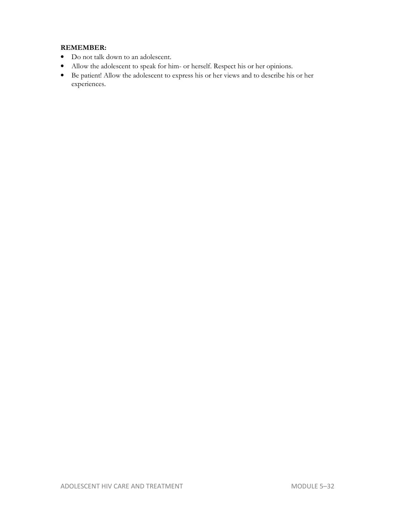# **REMEMBER:**

- Do not talk down to an adolescent.
- Allow the adolescent to speak for him- or herself. Respect his or her opinions.
- Be patient! Allow the adolescent to express his or her views and to describe his or her experiences.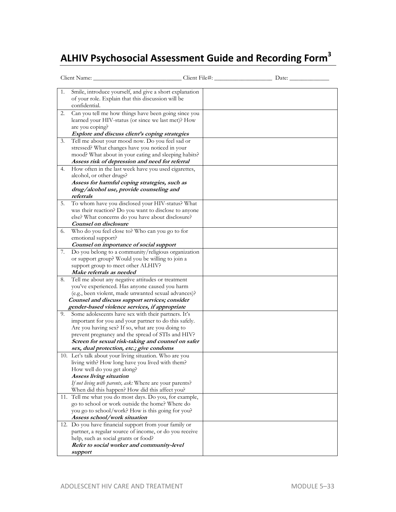# **ALHIV Psychosocial Assessment Guide and Recording Form<sup>3</sup>**

| Client Name:                                                                                                                                                                                                                                                                                                                                                                    |  |
|---------------------------------------------------------------------------------------------------------------------------------------------------------------------------------------------------------------------------------------------------------------------------------------------------------------------------------------------------------------------------------|--|
| Smile, introduce yourself, and give a short explanation<br>1.<br>of your role. Explain that this discussion will be<br>confidential.                                                                                                                                                                                                                                            |  |
| Can you tell me how things have been going since you<br>2.<br>learned your HIV-status (or since we last met)? How<br>are you coping?<br>Explore and discuss client's coping strategies                                                                                                                                                                                          |  |
| Tell me about your mood now. Do you feel sad or<br>3.<br>stressed? What changes have you noticed in your<br>mood? What about in your eating and sleeping habits?<br>Assess risk of depression and need for referral                                                                                                                                                             |  |
| How often in the last week have you used cigarettes,<br>4.<br>alcohol, or other drugs?<br>Assess for harmful coping strategies, such as<br>drug/alcohol use, provide counseling and<br>referrals                                                                                                                                                                                |  |
| To whom have you disclosed your HIV-status? What<br>5.<br>was their reaction? Do you want to disclose to anyone<br>else? What concerns do you have about disclosure?<br>Counsel on disclosure                                                                                                                                                                                   |  |
| Who do you feel close to? Who can you go to for<br>6.<br>emotional support?<br>Counsel on importance of social support                                                                                                                                                                                                                                                          |  |
| Do you belong to a community/religious organization<br>7.<br>or support group? Would you be willing to join a<br>support group to meet other ALHIV?<br>Make referrals as needed                                                                                                                                                                                                 |  |
| Tell me about any negative attitudes or treatment<br>8.<br>you've experienced. Has anyone caused you harm<br>(e.g., been violent, made unwanted sexual advances)?<br>Counsel and discuss support services; consider                                                                                                                                                             |  |
| gender-based violence services, if appropriate<br>9.<br>Some adolescents have sex with their partners. It's<br>important for you and your partner to do this safely.<br>Are you having sex? If so, what are you doing to<br>prevent pregnancy and the spread of STIs and HIV?<br>Screen for sexual risk-taking and counsel on safer<br>sex, dual protection, etc.; give condoms |  |
| 10. Let's talk about your living situation. Who are you<br>living with? How long have you lived with them?<br>How well do you get along?<br>Assess living situation<br>If not living with parents, ask: Where are your parents?<br>When did this happen? How did this affect you?                                                                                               |  |
| 11. Tell me what you do most days. Do you, for example,<br>go to school or work outside the home? Where do<br>you go to school/work? How is this going for you?<br>Assess school/work situation                                                                                                                                                                                 |  |
| 12. Do you have financial support from your family or<br>partner, a regular source of income, or do you receive<br>help, such as social grants or food?<br>Refer to social worker and community-level<br>support                                                                                                                                                                |  |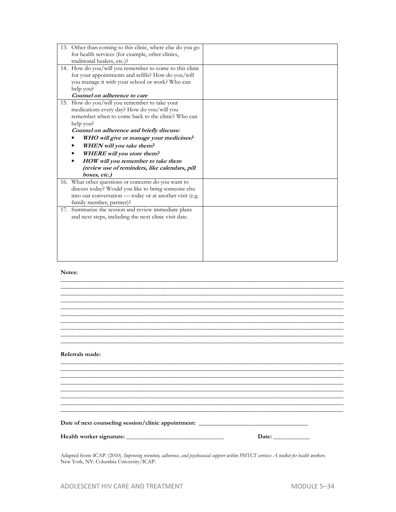#### **Notes:**

| Referrals made: |       |
|-----------------|-------|
|                 |       |
|                 |       |
|                 |       |
|                 |       |
|                 |       |
|                 |       |
|                 |       |
|                 |       |
|                 |       |
|                 |       |
|                 |       |
|                 |       |
|                 |       |
|                 |       |
|                 | Date: |
|                 |       |
|                 |       |

Adapted from: ICAP. (2010). *Improving retention, adherence, and psychosocial support within PMTCT services: A toolkit for health workers.* New York, NY: Columbia University/ICAP.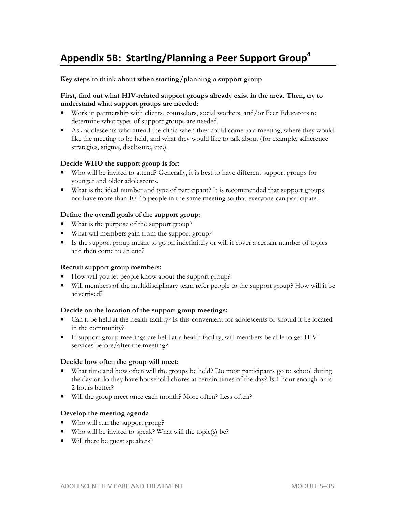# **Appendix 5B: Starting/Planning a Peer Support Group 4**

#### **Key steps to think about when starting/planning a support group**

#### **First, find out what HIV-related support groups already exist in the area. Then, try to understand what support groups are needed:**

- Work in partnership with clients, counselors, social workers, and/or Peer Educators to determine what types of support groups are needed.
- Ask adolescents who attend the clinic when they could come to a meeting, where they would like the meeting to be held, and what they would like to talk about (for example, adherence strategies, stigma, disclosure, etc.).

#### **Decide WHO the support group is for:**

- Who will be invited to attend? Generally, it is best to have different support groups for younger and older adolescents.
- What is the ideal number and type of participant? It is recommended that support groups not have more than 10–15 people in the same meeting so that everyone can participate.

#### **Define the overall goals of the support group:**

- What is the purpose of the support group?
- What will members gain from the support group?
- Is the support group meant to go on indefinitely or will it cover a certain number of topics and then come to an end?

#### **Recruit support group members:**

- How will you let people know about the support group?
- Will members of the multidisciplinary team refer people to the support group? How will it be advertised?

#### **Decide on the location of the support group meetings:**

- Can it be held at the health facility? Is this convenient for adolescents or should it be located in the community?
- If support group meetings are held at a health facility, will members be able to get HIV services before/after the meeting?

#### **Decide how often the group will meet:**

- What time and how often will the groups be held? Do most participants go to school during the day or do they have household chores at certain times of the day? Is 1 hour enough or is 2 hours better?
- Will the group meet once each month? More often? Less often?

#### **Develop the meeting agenda**

- Who will run the support group?
- Who will be invited to speak? What will the topic(s) be?
- Will there be guest speakers?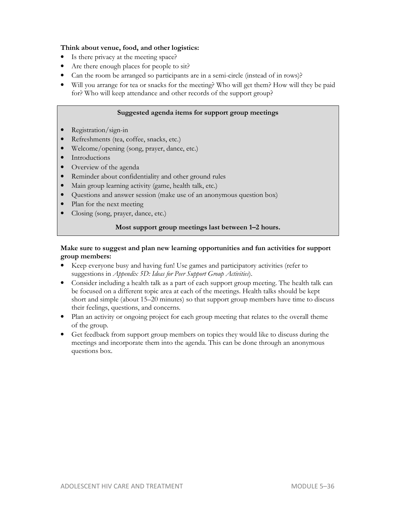# **Think about venue, food, and other logistics:**

- Is there privacy at the meeting space?
- Are there enough places for people to sit?
- Can the room be arranged so participants are in a semi-circle (instead of in rows)?
- Will you arrange for tea or snacks for the meeting? Who will get them? How will they be paid for? Who will keep attendance and other records of the support group?

# **Suggested agenda items for support group meetings**

- Registration/sign-in
- Refreshments (tea, coffee, snacks, etc.)
- Welcome/opening (song, prayer, dance, etc.)
- **Introductions**
- Overview of the agenda
- Reminder about confidentiality and other ground rules
- Main group learning activity (game, health talk, etc.)
- Questions and answer session (make use of an anonymous question box)
- Plan for the next meeting
- Closing (song, prayer, dance, etc.)

## **Most support group meetings last between 1–2 hours.**

## **Make sure to suggest and plan new learning opportunities and fun activities for support group members:**

- Keep everyone busy and having fun! Use games and participatory activities (refer to suggestions in *Appendix 5D: Ideas for Peer Support Group Activities*).
- Consider including a health talk as a part of each support group meeting. The health talk can be focused on a different topic area at each of the meetings. Health talks should be kept short and simple (about 15–20 minutes) so that support group members have time to discuss their feelings, questions, and concerns.
- Plan an activity or ongoing project for each group meeting that relates to the overall theme of the group.
- Get feedback from support group members on topics they would like to discuss during the meetings and incorporate them into the agenda. This can be done through an anonymous questions box.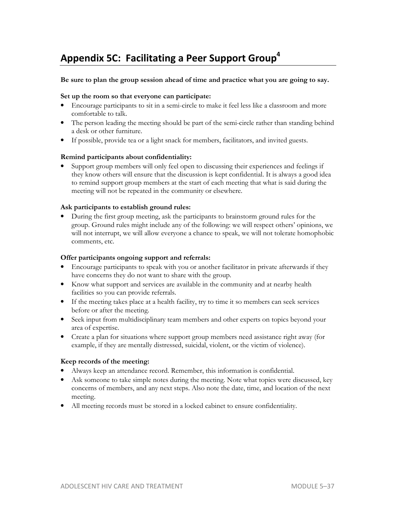# **Appendix 5C: Facilitating a Peer Support Group<sup>4</sup>**

#### **Be sure to plan the group session ahead of time and practice what you are going to say.**

# **Set up the room so that everyone can participate:**

- Encourage participants to sit in a semi-circle to make it feel less like a classroom and more comfortable to talk.
- The person leading the meeting should be part of the semi-circle rather than standing behind a desk or other furniture.
- If possible, provide tea or a light snack for members, facilitators, and invited guests.

#### **Remind participants about confidentiality:**

• Support group members will only feel open to discussing their experiences and feelings if they know others will ensure that the discussion is kept confidential. It is always a good idea to remind support group members at the start of each meeting that what is said during the meeting will not be repeated in the community or elsewhere.

#### **Ask participants to establish ground rules:**

• During the first group meeting, ask the participants to brainstorm ground rules for the group. Ground rules might include any of the following: we will respect others' opinions, we will not interrupt, we will allow everyone a chance to speak, we will not tolerate homophobic comments, etc.

#### **Offer participants ongoing support and referrals:**

- Encourage participants to speak with you or another facilitator in private afterwards if they have concerns they do not want to share with the group.
- Know what support and services are available in the community and at nearby health facilities so you can provide referrals.
- If the meeting takes place at a health facility, try to time it so members can seek services before or after the meeting.
- Seek input from multidisciplinary team members and other experts on topics beyond your area of expertise.
- Create a plan for situations where support group members need assistance right away (for example, if they are mentally distressed, suicidal, violent, or the victim of violence).

#### **Keep records of the meeting:**

- Always keep an attendance record. Remember, this information is confidential.
- Ask someone to take simple notes during the meeting. Note what topics were discussed, key concerns of members, and any next steps. Also note the date, time, and location of the next meeting.
- All meeting records must be stored in a locked cabinet to ensure confidentiality.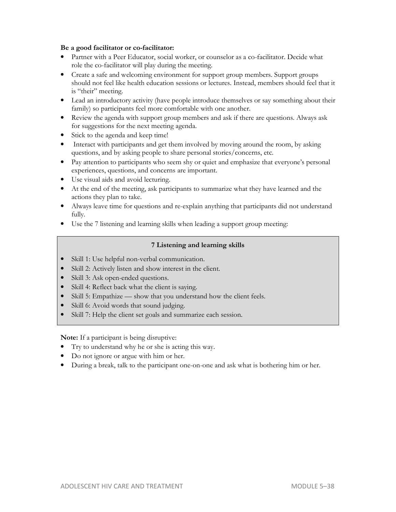# **Be a good facilitator or co-facilitator:**

- Partner with a Peer Educator, social worker, or counselor as a co-facilitator. Decide what role the co-facilitator will play during the meeting.
- Create a safe and welcoming environment for support group members. Support groups should not feel like health education sessions or lectures. Instead, members should feel that it is "their" meeting.
- Lead an introductory activity (have people introduce themselves or say something about their family) so participants feel more comfortable with one another.
- Review the agenda with support group members and ask if there are questions. Always ask for suggestions for the next meeting agenda.
- Stick to the agenda and keep time!
- Interact with participants and get them involved by moving around the room, by asking questions, and by asking people to share personal stories/concerns, etc.
- Pay attention to participants who seem shy or quiet and emphasize that everyone's personal experiences, questions, and concerns are important.
- Use visual aids and avoid lecturing.
- At the end of the meeting, ask participants to summarize what they have learned and the actions they plan to take.
- Always leave time for questions and re-explain anything that participants did not understand fully.
- Use the 7 listening and learning skills when leading a support group meeting:

# **7 Listening and learning skills**

- Skill 1: Use helpful non-verbal communication.
- Skill 2: Actively listen and show interest in the client.
- Skill 3: Ask open-ended questions.
- Skill 4: Reflect back what the client is saying.
- Skill 5: Empathize show that you understand how the client feels.
- Skill 6: Avoid words that sound judging.
- Skill 7: Help the client set goals and summarize each session.

**Note:** If a participant is being disruptive:

- Try to understand why he or she is acting this way.
- Do not ignore or argue with him or her.
- During a break, talk to the participant one-on-one and ask what is bothering him or her.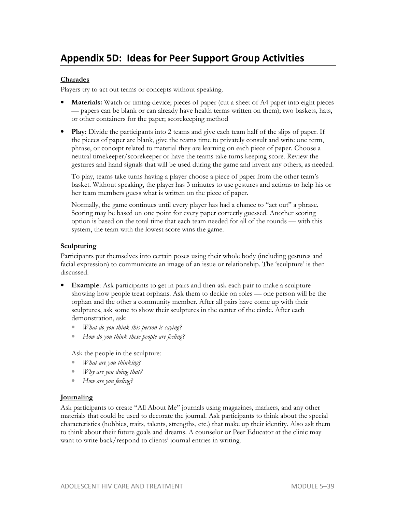# **Charades**

Players try to act out terms or concepts without speaking.

- **Materials:** Watch or timing device; pieces of paper (cut a sheet of A4 paper into eight pieces — papers can be blank or can already have health terms written on them); two baskets, hats, or other containers for the paper; scorekeeping method
- **Play:** Divide the participants into 2 teams and give each team half of the slips of paper. If the pieces of paper are blank, give the teams time to privately consult and write one term, phrase, or concept related to material they are learning on each piece of paper. Choose a neutral timekeeper/scorekeeper or have the teams take turns keeping score. Review the gestures and hand signals that will be used during the game and invent any others, as needed.

To play, teams take turns having a player choose a piece of paper from the other team's basket. Without speaking, the player has 3 minutes to use gestures and actions to help his or her team members guess what is written on the piece of paper.

Normally, the game continues until every player has had a chance to "act out" a phrase. Scoring may be based on one point for every paper correctly guessed. Another scoring option is based on the total time that each team needed for all of the rounds — with this system, the team with the lowest score wins the game.

# **Sculpturing**

Participants put themselves into certain poses using their whole body (including gestures and facial expression) to communicate an image of an issue or relationship. The 'sculpture' is then discussed.

- **Example**: Ask participants to get in pairs and then ask each pair to make a sculpture showing how people treat orphans. Ask them to decide on roles — one person will be the orphan and the other a community member. After all pairs have come up with their sculptures, ask some to show their sculptures in the center of the circle. After each demonstration, ask:
	- *What do you think this person is saying?*
	- *How do you think these people are feeling?*

Ask the people in the sculpture:

- *What are you thinking?*
- *Why are you doing that?*
- *How are you feeling?*

## **Journaling**

Ask participants to create "All About Me" journals using magazines, markers, and any other materials that could be used to decorate the journal. Ask participants to think about the special characteristics (hobbies, traits, talents, strengths, etc.) that make up their identity. Also ask them to think about their future goals and dreams. A counselor or Peer Educator at the clinic may want to write back/respond to clients' journal entries in writing.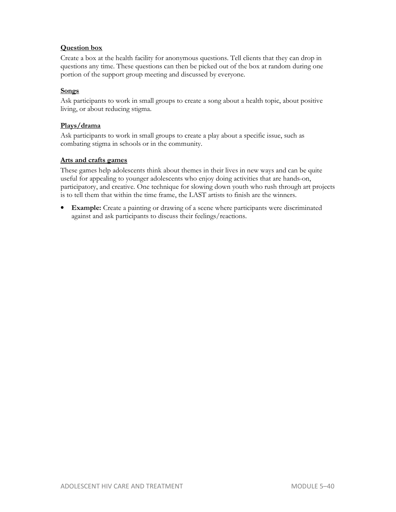# **Question box**

Create a box at the health facility for anonymous questions. Tell clients that they can drop in questions any time. These questions can then be picked out of the box at random during one portion of the support group meeting and discussed by everyone.

# **Songs**

Ask participants to work in small groups to create a song about a health topic, about positive living, or about reducing stigma.

## **Plays/drama**

Ask participants to work in small groups to create a play about a specific issue, such as combating stigma in schools or in the community.

#### **Arts and crafts games**

These games help adolescents think about themes in their lives in new ways and can be quite useful for appealing to younger adolescents who enjoy doing activities that are hands-on, participatory, and creative. One technique for slowing down youth who rush through art projects is to tell them that within the time frame, the LAST artists to finish are the winners.

• **Example:** Create a painting or drawing of a scene where participants were discriminated against and ask participants to discuss their feelings/reactions.